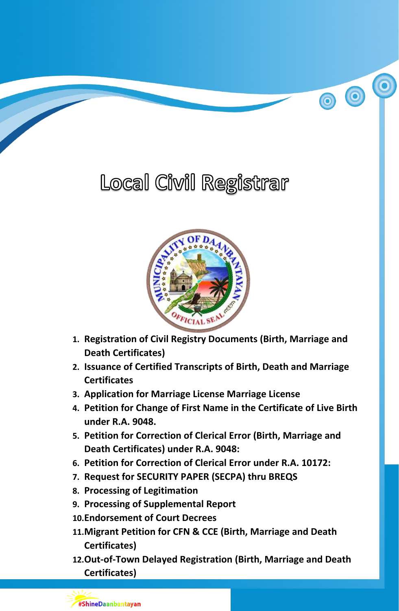# Local Civil Registrar

00



- **1. Registration of Civil Registry Documents (Birth, Marriage and Death Certificates)**
- **2. Issuance of Certified Transcripts of Birth, Death and Marriage Certificates**
- **3. Application for Marriage License Marriage License**
- **4. Petition for Change of First Name in the Certificate of Live Birth under R.A. 9048.**
- **5. Petition for Correction of Clerical Error (Birth, Marriage and Death Certificates) under R.A. 9048:**
- **6. Petition for Correction of Clerical Error under R.A. 10172:**
- **7. Request for SECURITY PAPER (SECPA) thru BREQS**
- **8. Processing of Legitimation**

#ShineDaanbantayan

- **9. Processing of Supplemental Report**
- **10.Endorsement of Court Decrees**
- **11.Migrant Petition for CFN & CCE (Birth, Marriage and Death Certificates)**
- **12.Out-of-Town Delayed Registration (Birth, Marriage and Death Certificates)**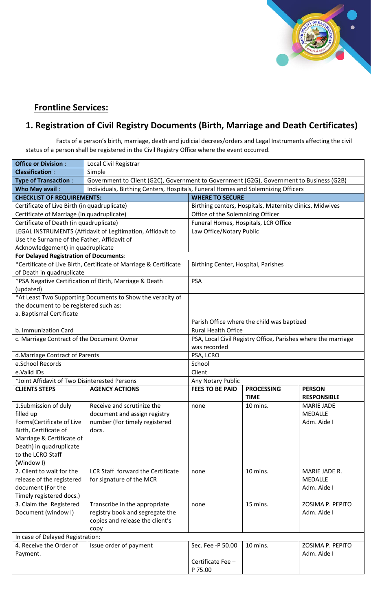

#### **Frontline Services:**

#### **1. Registration of Civil Registry Documents (Birth, Marriage and Death Certificates)**

Facts of a person's birth, marriage, death and judicial decrees/orders and Legal Instruments affecting the civil status of a person shall be registered in the Civil Registry Office where the event occurred.

| <b>Office or Division:</b>                    | Local Civil Registrar                                                                    |                                                                                  |             |                    |  |  |
|-----------------------------------------------|------------------------------------------------------------------------------------------|----------------------------------------------------------------------------------|-------------|--------------------|--|--|
| <b>Classification:</b>                        | Simple                                                                                   |                                                                                  |             |                    |  |  |
| <b>Type of Transaction:</b>                   | Government to Client (G2C), Government to Government (G2G), Government to Business (G2B) |                                                                                  |             |                    |  |  |
| Who May avail:                                |                                                                                          | Individuals, Birthing Centers, Hospitals, Funeral Homes and Solemnizing Officers |             |                    |  |  |
| <b>CHECKLIST OF REQUIREMENTS:</b>             |                                                                                          | <b>WHERE TO SECURE</b>                                                           |             |                    |  |  |
| Certificate of Live Birth (in quadruplicate)  |                                                                                          | Birthing centers, Hospitals, Maternity clinics, Midwives                         |             |                    |  |  |
| Certificate of Marriage (in quadruplicate)    |                                                                                          | Office of the Solemnizing Officer                                                |             |                    |  |  |
| Certificate of Death (in quadruplicate)       |                                                                                          | Funeral Homes, Hospitals, LCR Office                                             |             |                    |  |  |
|                                               | LEGAL INSTRUMENTS (Affidavit of Legitimation, Affidavit to                               | Law Office/Notary Public                                                         |             |                    |  |  |
| Use the Surname of the Father, Affidavit of   |                                                                                          |                                                                                  |             |                    |  |  |
| Acknowledgement) in quadruplicate             |                                                                                          |                                                                                  |             |                    |  |  |
| For Delayed Registration of Documents:        |                                                                                          |                                                                                  |             |                    |  |  |
|                                               | *Certificate of Live Birth, Certificate of Marriage & Certificate                        | Birthing Center, Hospital, Parishes                                              |             |                    |  |  |
| of Death in quadruplicate                     |                                                                                          |                                                                                  |             |                    |  |  |
|                                               | *PSA Negative Certification of Birth, Marriage & Death                                   | <b>PSA</b>                                                                       |             |                    |  |  |
| (updated)                                     |                                                                                          |                                                                                  |             |                    |  |  |
|                                               | *At Least Two Supporting Documents to Show the veracity of                               |                                                                                  |             |                    |  |  |
| the document to be registered such as:        |                                                                                          |                                                                                  |             |                    |  |  |
| a. Baptismal Certificate                      |                                                                                          |                                                                                  |             |                    |  |  |
|                                               |                                                                                          | Parish Office where the child was baptized                                       |             |                    |  |  |
| b. Immunization Card                          |                                                                                          | <b>Rural Health Office</b>                                                       |             |                    |  |  |
| c. Marriage Contract of the Document Owner    |                                                                                          | PSA, Local Civil Registry Office, Parishes where the marriage                    |             |                    |  |  |
|                                               |                                                                                          | was recorded                                                                     |             |                    |  |  |
| d.Marriage Contract of Parents                |                                                                                          | PSA, LCRO                                                                        |             |                    |  |  |
| e.School Records                              |                                                                                          | School                                                                           |             |                    |  |  |
| e.Valid IDs                                   |                                                                                          | Client                                                                           |             |                    |  |  |
| *Joint Affidavit of Two Disinterested Persons |                                                                                          | Any Notary Public                                                                |             |                    |  |  |
| <b>CLIENTS STEPS</b>                          | <b>AGENCY ACTIONS</b>                                                                    | <b>FEES TO BE PAID</b><br><b>PROCESSING</b><br><b>PERSON</b>                     |             |                    |  |  |
|                                               |                                                                                          |                                                                                  | <b>TIME</b> | <b>RESPONSIBLE</b> |  |  |
| 1.Submission of duly                          | Receive and scrutinize the                                                               | none                                                                             | 10 mins.    | <b>MARIE JADE</b>  |  |  |
| filled up                                     | document and assign registry                                                             |                                                                                  |             | <b>MEDALLE</b>     |  |  |
| Forms(Certificate of Live                     | number (For timely registered                                                            |                                                                                  |             | Adm. Aide I        |  |  |
| Birth, Certificate of                         | docs.                                                                                    |                                                                                  |             |                    |  |  |
| Marriage & Certificate of                     |                                                                                          |                                                                                  |             |                    |  |  |
| Death) in quadruplicate                       |                                                                                          |                                                                                  |             |                    |  |  |
| to the LCRO Staff                             |                                                                                          |                                                                                  |             |                    |  |  |
| (Window I)                                    |                                                                                          |                                                                                  |             |                    |  |  |
| 2. Client to wait for the                     | LCR Staff forward the Certificate                                                        | none                                                                             | 10 mins.    | MARIE JADE R.      |  |  |
| release of the registered                     | for signature of the MCR                                                                 |                                                                                  |             | <b>MEDALLE</b>     |  |  |
| document (For the                             |                                                                                          |                                                                                  |             | Adm. Aide I        |  |  |
| Timely registered docs.)                      |                                                                                          |                                                                                  |             |                    |  |  |
| 3. Claim the Registered                       | Transcribe in the appropriate                                                            | none                                                                             | 15 mins.    | ZOSIMA P. PEPITO   |  |  |
| Document (window I)                           | registry book and segregate the                                                          |                                                                                  |             | Adm. Aide I        |  |  |
|                                               | copies and release the client's                                                          |                                                                                  |             |                    |  |  |
|                                               | copy                                                                                     |                                                                                  |             |                    |  |  |
| In case of Delayed Registration:              |                                                                                          |                                                                                  |             |                    |  |  |
| 4. Receive the Order of                       | Issue order of payment                                                                   | Sec. Fee -P 50.00                                                                | 10 mins.    | ZOSIMA P. PEPITO   |  |  |
| Payment.                                      |                                                                                          |                                                                                  |             | Adm. Aide I        |  |  |
|                                               |                                                                                          | Certificate Fee -<br>P 75.00                                                     |             |                    |  |  |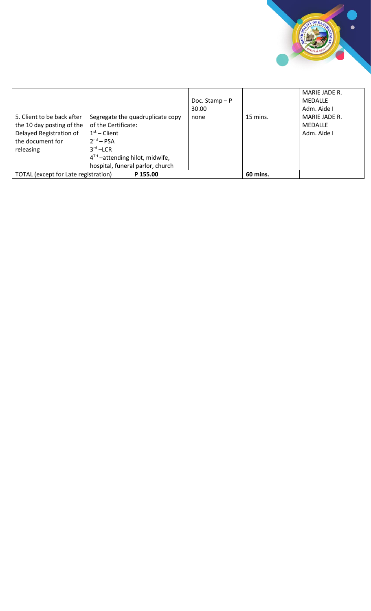

|                                                                                                                     |                                                                                                                                                                                 | Doc. Stamp $-P$<br>30.00 |          | MARIE JADE R.<br>MEDALLE<br>Adm. Aide I        |
|---------------------------------------------------------------------------------------------------------------------|---------------------------------------------------------------------------------------------------------------------------------------------------------------------------------|--------------------------|----------|------------------------------------------------|
| 5. Client to be back after<br>the 10 day posting of the<br>Delayed Registration of<br>the document for<br>releasing | Segregate the quadruplicate copy<br>of the Certificate:<br>$1st$ – Client<br>$2nd - PSA$<br>$3rd$ – LCR<br>$4TH$ –attending hilot, midwife,<br>hospital, funeral parlor, church | none                     | 15 mins. | MARIE JADE R.<br><b>MEDALLE</b><br>Adm. Aide I |
| TOTAL (except for Late registration)                                                                                | P 155.00                                                                                                                                                                        |                          | 60 mins. |                                                |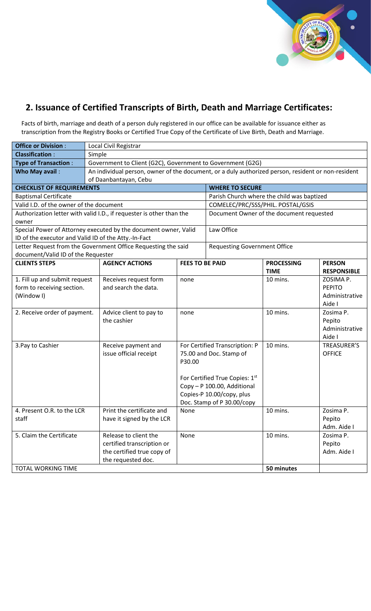

#### **2. Issuance of Certified Transcripts of Birth, Death and Marriage Certificates:**

Facts of birth, marriage and death of a person duly registered in our office can be available for issuance either as transcription from the Registry Books or Certified True Copy of the Certificate of Live Birth, Death and Marriage.

| <b>Office or Division:</b>                           | Local Civil Registrar                                                                                                       |                        |                                            |                                  |                                     |  |  |
|------------------------------------------------------|-----------------------------------------------------------------------------------------------------------------------------|------------------------|--------------------------------------------|----------------------------------|-------------------------------------|--|--|
| <b>Classification:</b>                               | Simple                                                                                                                      |                        |                                            |                                  |                                     |  |  |
| <b>Type of Transaction:</b>                          | Government to Client (G2C), Government to Government (G2G)                                                                  |                        |                                            |                                  |                                     |  |  |
| Who May avail:                                       | An individual person, owner of the document, or a duly authorized person, resident or non-resident<br>of Daanbantayan, Cebu |                        |                                            |                                  |                                     |  |  |
| <b>CHECKLIST OF REQUIREMENTS</b>                     |                                                                                                                             |                        | <b>WHERE TO SECURE</b>                     |                                  |                                     |  |  |
| <b>Baptismal Certificate</b>                         |                                                                                                                             |                        | Parish Church where the child was baptized |                                  |                                     |  |  |
| Valid I.D. of the owner of the document              |                                                                                                                             |                        | COMELEC/PRC/SSS/PHIL. POSTAL/GSIS          |                                  |                                     |  |  |
| owner                                                | Authorization letter with valid I.D., if requester is other than the                                                        |                        | Document Owner of the document requested   |                                  |                                     |  |  |
|                                                      | Special Power of Attorney executed by the document owner, Valid                                                             |                        | Law Office                                 |                                  |                                     |  |  |
| ID of the executor and Valid ID of the Atty.-In-Fact |                                                                                                                             |                        |                                            |                                  |                                     |  |  |
|                                                      | Letter Request from the Government Office Requesting the said                                                               |                        | <b>Requesting Government Office</b>        |                                  |                                     |  |  |
| document/Valid ID of the Requester                   |                                                                                                                             |                        |                                            |                                  |                                     |  |  |
| <b>CLIENTS STEPS</b>                                 | <b>AGENCY ACTIONS</b>                                                                                                       | <b>FEES TO BE PAID</b> |                                            | <b>PROCESSING</b><br><b>TIME</b> | <b>PERSON</b><br><b>RESPONSIBLE</b> |  |  |
| 1. Fill up and submit request                        | Receives request form                                                                                                       | none                   |                                            | 10 mins.                         | ZOSIMA P.                           |  |  |
| form to receiving section.                           | and search the data.                                                                                                        |                        |                                            |                                  | <b>PEPITO</b>                       |  |  |
| (Window I)                                           |                                                                                                                             |                        |                                            |                                  | Administrative                      |  |  |
|                                                      |                                                                                                                             |                        |                                            |                                  | Aide I                              |  |  |
| 2. Receive order of payment.                         | Advice client to pay to                                                                                                     | none                   |                                            | 10 mins.                         | Zosima P.                           |  |  |
|                                                      | the cashier                                                                                                                 |                        |                                            |                                  | Pepito                              |  |  |
|                                                      |                                                                                                                             |                        |                                            |                                  | Administrative                      |  |  |
|                                                      |                                                                                                                             |                        |                                            |                                  | Aide I                              |  |  |
| 3. Pay to Cashier                                    | Receive payment and                                                                                                         |                        | For Certified Transcription: P             | 10 mins.                         | TREASURER'S                         |  |  |
|                                                      | issue official receipt                                                                                                      |                        | 75.00 and Doc. Stamp of                    |                                  | <b>OFFICE</b>                       |  |  |
|                                                      |                                                                                                                             | P30.00                 |                                            |                                  |                                     |  |  |
|                                                      |                                                                                                                             |                        | For Certified True Copies: 1st             |                                  |                                     |  |  |
|                                                      |                                                                                                                             |                        | Copy - P 100.00, Additional                |                                  |                                     |  |  |
|                                                      |                                                                                                                             |                        | Copies-P 10.00/copy, plus                  |                                  |                                     |  |  |
|                                                      |                                                                                                                             |                        | Doc. Stamp of P 30.00/copy                 |                                  |                                     |  |  |
| 4. Present O.R. to the LCR                           | Print the certificate and                                                                                                   | None                   |                                            | 10 mins.                         | Zosima P.                           |  |  |
| staff                                                | have it signed by the LCR                                                                                                   |                        |                                            |                                  | Pepito                              |  |  |
|                                                      |                                                                                                                             |                        |                                            |                                  | Adm. Aide I                         |  |  |
| 5. Claim the Certificate                             | Release to client the                                                                                                       | None                   |                                            | 10 mins.                         | Zosima P.                           |  |  |
|                                                      | certified transcription or                                                                                                  |                        |                                            |                                  | Pepito                              |  |  |
|                                                      | the certified true copy of                                                                                                  |                        |                                            |                                  | Adm. Aide I                         |  |  |
|                                                      | the requested doc.                                                                                                          |                        |                                            |                                  |                                     |  |  |
| <b>TOTAL WORKING TIME</b>                            |                                                                                                                             |                        |                                            | 50 minutes                       |                                     |  |  |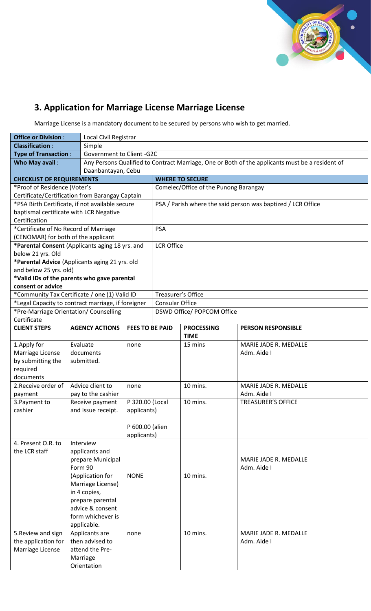

# **3. Application for Marriage License Marriage License**

Marriage License is a mandatory document to be secured by persons who wish to get married.

| <b>Office or Division:</b>                | Local Civil Registrar                              |                                                                                                 |                        |                                       |                                                              |  |  |  |
|-------------------------------------------|----------------------------------------------------|-------------------------------------------------------------------------------------------------|------------------------|---------------------------------------|--------------------------------------------------------------|--|--|--|
| <b>Classification:</b>                    | Simple                                             |                                                                                                 |                        |                                       |                                                              |  |  |  |
| <b>Type of Transaction:</b>               |                                                    | Government to Client - G2C                                                                      |                        |                                       |                                                              |  |  |  |
| Who May avail:                            |                                                    | Any Persons Qualified to Contract Marriage, One or Both of the applicants must be a resident of |                        |                                       |                                                              |  |  |  |
| Daanbantayan, Cebu                        |                                                    |                                                                                                 |                        |                                       |                                                              |  |  |  |
| <b>CHECKLIST OF REQUIREMENTS</b>          |                                                    |                                                                                                 |                        | <b>WHERE TO SECURE</b>                |                                                              |  |  |  |
| *Proof of Residence (Voter's              |                                                    |                                                                                                 |                        | Comelec/Office of the Punong Barangay |                                                              |  |  |  |
|                                           | Certificate/Certification from Barangay Captain    |                                                                                                 |                        |                                       |                                                              |  |  |  |
|                                           | *PSA Birth Certificate, if not available secure    |                                                                                                 |                        |                                       | PSA / Parish where the said person was baptized / LCR Office |  |  |  |
| baptismal certificate with LCR Negative   |                                                    |                                                                                                 |                        |                                       |                                                              |  |  |  |
| Certification                             |                                                    |                                                                                                 |                        |                                       |                                                              |  |  |  |
| *Certificate of No Record of Marriage     |                                                    |                                                                                                 | <b>PSA</b>             |                                       |                                                              |  |  |  |
| (CENOMAR) for both of the applicant       |                                                    |                                                                                                 |                        |                                       |                                                              |  |  |  |
|                                           | *Parental Consent (Applicants aging 18 yrs. and    |                                                                                                 | <b>LCR Office</b>      |                                       |                                                              |  |  |  |
| below 21 yrs. Old                         |                                                    |                                                                                                 |                        |                                       |                                                              |  |  |  |
|                                           | *Parental Advice (Applicants aging 21 yrs. old     |                                                                                                 |                        |                                       |                                                              |  |  |  |
| and below 25 yrs. old)                    |                                                    |                                                                                                 |                        |                                       |                                                              |  |  |  |
|                                           | *Valid IDs of the parents who gave parental        |                                                                                                 |                        |                                       |                                                              |  |  |  |
| consent or advice                         |                                                    |                                                                                                 |                        |                                       |                                                              |  |  |  |
|                                           | *Community Tax Certificate / one (1) Valid ID      |                                                                                                 | Treasurer's Office     |                                       |                                                              |  |  |  |
|                                           | *Legal Capacity to contract marriage, if foreigner |                                                                                                 | <b>Consular Office</b> |                                       |                                                              |  |  |  |
|                                           | *Pre-Marriage Orientation/ Counselling             |                                                                                                 |                        | DSWD Office/ POPCOM Office            |                                                              |  |  |  |
| Certificate                               |                                                    |                                                                                                 |                        |                                       |                                                              |  |  |  |
| <b>CLIENT STEPS</b>                       | <b>AGENCY ACTIONS</b>                              | <b>FEES TO BE PAID</b>                                                                          |                        | <b>PROCESSING</b><br><b>TIME</b>      | <b>PERSON RESPONSIBLE</b>                                    |  |  |  |
| 1. Apply for                              | Evaluate                                           | none                                                                                            |                        | 15 mins                               | MARIE JADE R. MEDALLE                                        |  |  |  |
| Marriage License                          | documents                                          |                                                                                                 |                        |                                       | Adm. Aide I                                                  |  |  |  |
| by submitting the                         | submitted.                                         |                                                                                                 |                        |                                       |                                                              |  |  |  |
| required                                  |                                                    |                                                                                                 |                        |                                       |                                                              |  |  |  |
| documents                                 |                                                    |                                                                                                 |                        |                                       |                                                              |  |  |  |
| 2. Receive order of                       | Advice client to                                   | none                                                                                            |                        | 10 mins.                              | MARIE JADE R. MEDALLE                                        |  |  |  |
| payment                                   | pay to the cashier                                 |                                                                                                 |                        |                                       | Adm. Aide I                                                  |  |  |  |
| 3. Payment to                             | Receive payment                                    | P 320.00 (Local                                                                                 |                        | 10 mins.                              | <b>TREASURER'S OFFICE</b>                                    |  |  |  |
| cashier                                   | and issue receipt.                                 | applicants)                                                                                     |                        |                                       |                                                              |  |  |  |
|                                           |                                                    |                                                                                                 |                        |                                       |                                                              |  |  |  |
|                                           |                                                    | P 600.00 (alien                                                                                 |                        |                                       |                                                              |  |  |  |
|                                           |                                                    | applicants)                                                                                     |                        |                                       |                                                              |  |  |  |
| 4. Present O.R. to                        | Interview                                          |                                                                                                 |                        |                                       |                                                              |  |  |  |
| the LCR staff                             | applicants and                                     |                                                                                                 |                        |                                       |                                                              |  |  |  |
|                                           | prepare Municipal                                  |                                                                                                 |                        |                                       | MARIE JADE R. MEDALLE                                        |  |  |  |
|                                           | Form 90                                            |                                                                                                 |                        |                                       | Adm. Aide I                                                  |  |  |  |
|                                           | (Application for                                   | <b>NONE</b>                                                                                     |                        | 10 mins.                              |                                                              |  |  |  |
|                                           | Marriage License)                                  |                                                                                                 |                        |                                       |                                                              |  |  |  |
|                                           | in 4 copies,                                       |                                                                                                 |                        |                                       |                                                              |  |  |  |
|                                           | prepare parental                                   |                                                                                                 |                        |                                       |                                                              |  |  |  |
|                                           | advice & consent<br>form whichever is              |                                                                                                 |                        |                                       |                                                              |  |  |  |
|                                           |                                                    |                                                                                                 |                        |                                       |                                                              |  |  |  |
|                                           | applicable.                                        |                                                                                                 |                        | 10 mins.                              | MARIE JADE R. MEDALLE                                        |  |  |  |
| 5. Review and sign<br>the application for | Applicants are<br>then advised to                  | none                                                                                            |                        |                                       | Adm. Aide I                                                  |  |  |  |
| Marriage License                          | attend the Pre-                                    |                                                                                                 |                        |                                       |                                                              |  |  |  |
|                                           | Marriage                                           |                                                                                                 |                        |                                       |                                                              |  |  |  |
|                                           | Orientation                                        |                                                                                                 |                        |                                       |                                                              |  |  |  |
|                                           |                                                    |                                                                                                 |                        |                                       |                                                              |  |  |  |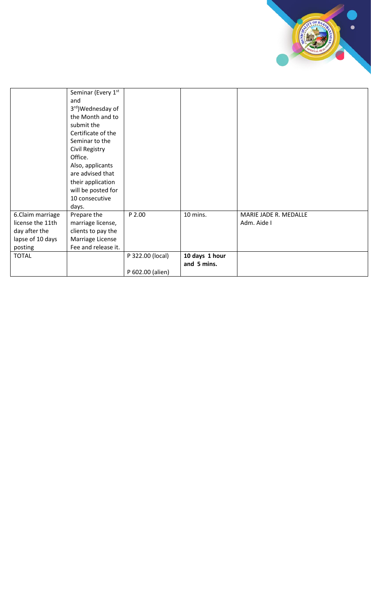|                  | Seminar (Every 1st  |                  |                |                       |
|------------------|---------------------|------------------|----------------|-----------------------|
|                  | and                 |                  |                |                       |
|                  | 3rd) Wednesday of   |                  |                |                       |
|                  | the Month and to    |                  |                |                       |
|                  | submit the          |                  |                |                       |
|                  | Certificate of the  |                  |                |                       |
|                  | Seminar to the      |                  |                |                       |
|                  | Civil Registry      |                  |                |                       |
|                  | Office.             |                  |                |                       |
|                  | Also, applicants    |                  |                |                       |
|                  | are advised that    |                  |                |                       |
|                  | their application   |                  |                |                       |
|                  | will be posted for  |                  |                |                       |
|                  | 10 consecutive      |                  |                |                       |
|                  | days.               |                  |                |                       |
| 6.Claim marriage | Prepare the         | P 2.00           | 10 mins.       | MARIE JADE R. MEDALLE |
| license the 11th | marriage license,   |                  |                | Adm. Aide I           |
| day after the    | clients to pay the  |                  |                |                       |
| lapse of 10 days | Marriage License    |                  |                |                       |
| posting          | Fee and release it. |                  |                |                       |
| <b>TOTAL</b>     |                     | P 322.00 (local) | 10 days 1 hour |                       |
|                  |                     |                  | and 5 mins.    |                       |
|                  |                     | P 602.00 (alien) |                |                       |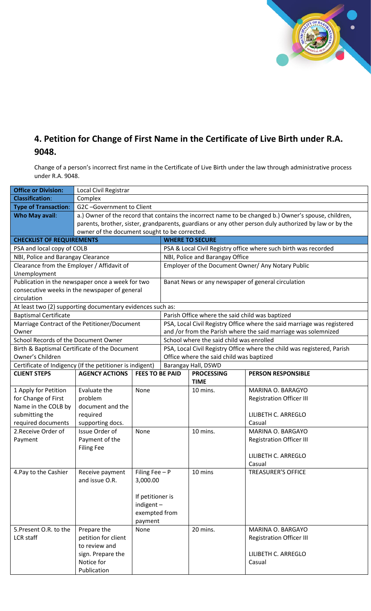

#### **4. Petition for Change of First Name in the Certificate of Live Birth under R.A. 9048.**

Change of a person's incorrect first name in the Certificate of Live Birth under the law through administrative process under R.A. 9048.

| <b>Office or Division:</b>                                 | Local Civil Registrar                                                                                  |                        |                                                                                                                     |                                                 |                                                                         |  |  |
|------------------------------------------------------------|--------------------------------------------------------------------------------------------------------|------------------------|---------------------------------------------------------------------------------------------------------------------|-------------------------------------------------|-------------------------------------------------------------------------|--|--|
| <b>Classification:</b>                                     | Complex                                                                                                |                        |                                                                                                                     |                                                 |                                                                         |  |  |
| <b>Type of Transaction:</b>                                | G2C-Government to Client                                                                               |                        |                                                                                                                     |                                                 |                                                                         |  |  |
| <b>Who May avail:</b>                                      | a.) Owner of the record that contains the incorrect name to be changed b.) Owner's spouse, children,   |                        |                                                                                                                     |                                                 |                                                                         |  |  |
|                                                            | parents, brother, sister, grandparents, guardians or any other person duly authorized by law or by the |                        |                                                                                                                     |                                                 |                                                                         |  |  |
|                                                            | owner of the document sought to be corrected.                                                          |                        |                                                                                                                     |                                                 |                                                                         |  |  |
| <b>CHECKLIST OF REQUIREMENTS</b>                           |                                                                                                        |                        |                                                                                                                     | <b>WHERE TO SECURE</b>                          |                                                                         |  |  |
| PSA and local copy of COLB                                 |                                                                                                        |                        |                                                                                                                     |                                                 | PSA & Local Civil Registry office where such birth was recorded         |  |  |
| NBI, Police and Barangay Clearance                         |                                                                                                        |                        |                                                                                                                     | NBI, Police and Barangay Office                 |                                                                         |  |  |
| Clearance from the Employer / Affidavit of                 |                                                                                                        |                        |                                                                                                                     |                                                 | Employer of the Document Owner/ Any Notary Public                       |  |  |
| Unemployment                                               |                                                                                                        |                        |                                                                                                                     |                                                 |                                                                         |  |  |
| Publication in the newspaper once a week for two           |                                                                                                        |                        |                                                                                                                     |                                                 | Banat News or any newspaper of general circulation                      |  |  |
| consecutive weeks in the newspaper of general              |                                                                                                        |                        |                                                                                                                     |                                                 |                                                                         |  |  |
| circulation                                                |                                                                                                        |                        |                                                                                                                     |                                                 |                                                                         |  |  |
| At least two (2) supporting documentary evidences such as: |                                                                                                        |                        |                                                                                                                     |                                                 |                                                                         |  |  |
| <b>Baptismal Certificate</b>                               |                                                                                                        |                        |                                                                                                                     | Parish Office where the said child was baptized |                                                                         |  |  |
| Marriage Contract of the Petitioner/Document               |                                                                                                        |                        |                                                                                                                     |                                                 | PSA, Local Civil Registry Office where the said marriage was registered |  |  |
| Owner<br>School Records of the Document Owner              |                                                                                                        |                        |                                                                                                                     |                                                 | and /or from the Parish where the said marriage was solemnized          |  |  |
|                                                            | School where the said child was enrolled<br>Birth & Baptismal Certificate of the Document              |                        |                                                                                                                     |                                                 |                                                                         |  |  |
| Owner's Children                                           |                                                                                                        |                        | PSA, Local Civil Registry Office where the child was registered, Parish<br>Office where the said child was baptized |                                                 |                                                                         |  |  |
| Certificate of Indigency (If the petitioner is indigent)   |                                                                                                        |                        | Barangay Hall, DSWD                                                                                                 |                                                 |                                                                         |  |  |
| <b>CLIENT STEPS</b>                                        | <b>AGENCY ACTIONS</b>                                                                                  | <b>FEES TO BE PAID</b> |                                                                                                                     | <b>PROCESSING</b>                               | <b>PERSON RESPONSIBLE</b>                                               |  |  |
|                                                            |                                                                                                        |                        |                                                                                                                     | <b>TIME</b>                                     |                                                                         |  |  |
| 1 Apply for Petition                                       | Evaluate the                                                                                           | None                   |                                                                                                                     | 10 mins.                                        | MARINA O. BARAGYO                                                       |  |  |
| for Change of First                                        | problem                                                                                                |                        |                                                                                                                     |                                                 | <b>Registration Officer III</b>                                         |  |  |
| Name in the COLB by                                        | document and the                                                                                       |                        |                                                                                                                     |                                                 |                                                                         |  |  |
| submitting the                                             | required                                                                                               |                        |                                                                                                                     |                                                 | LILIBETH C. ARREGLO                                                     |  |  |
| required documents                                         | supporting docs.                                                                                       |                        |                                                                                                                     |                                                 | Casual                                                                  |  |  |
| 2. Receive Order of                                        | Issue Order of                                                                                         | None                   |                                                                                                                     | 10 mins.                                        | MARINA O. BARGAYO                                                       |  |  |
| Payment                                                    | Payment of the                                                                                         |                        |                                                                                                                     |                                                 | Registration Officer III                                                |  |  |
|                                                            | <b>Filing Fee</b>                                                                                      |                        |                                                                                                                     |                                                 |                                                                         |  |  |
|                                                            |                                                                                                        |                        |                                                                                                                     |                                                 | LILIBETH C. ARREGLO                                                     |  |  |
|                                                            |                                                                                                        |                        |                                                                                                                     |                                                 | Casual                                                                  |  |  |
| 4. Pay to the Cashier                                      | Receive payment                                                                                        | Filing Fee $-$ P       |                                                                                                                     | 10 mins                                         | <b>TREASURER'S OFFICE</b>                                               |  |  |
|                                                            | and issue O.R.                                                                                         | 3,000.00               |                                                                                                                     |                                                 |                                                                         |  |  |
|                                                            |                                                                                                        |                        |                                                                                                                     |                                                 |                                                                         |  |  |
|                                                            |                                                                                                        | If petitioner is       |                                                                                                                     |                                                 |                                                                         |  |  |
|                                                            |                                                                                                        | $indigent -$           |                                                                                                                     |                                                 |                                                                         |  |  |
|                                                            |                                                                                                        | exempted from          |                                                                                                                     |                                                 |                                                                         |  |  |
| 5. Present O.R. to the                                     | Prepare the                                                                                            | payment<br>None        |                                                                                                                     | 20 mins.                                        | MARINA O. BARGAYO                                                       |  |  |
| <b>LCR</b> staff                                           | petition for client                                                                                    |                        |                                                                                                                     |                                                 | <b>Registration Officer III</b>                                         |  |  |
|                                                            | to review and                                                                                          |                        |                                                                                                                     |                                                 |                                                                         |  |  |
|                                                            | sign. Prepare the                                                                                      |                        |                                                                                                                     |                                                 | LILIBETH C. ARREGLO                                                     |  |  |
|                                                            | Notice for                                                                                             |                        |                                                                                                                     |                                                 | Casual                                                                  |  |  |
|                                                            | Publication                                                                                            |                        |                                                                                                                     |                                                 |                                                                         |  |  |
|                                                            |                                                                                                        |                        |                                                                                                                     |                                                 |                                                                         |  |  |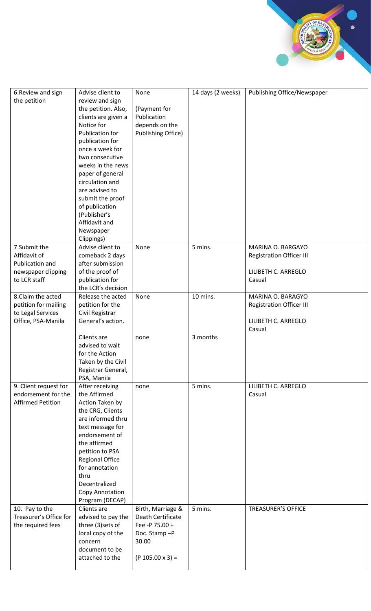| 6. Review and sign       | Advise client to       | None                      | 14 days (2 weeks) | Publishing Office/Newspaper     |
|--------------------------|------------------------|---------------------------|-------------------|---------------------------------|
| the petition             | review and sign        |                           |                   |                                 |
|                          |                        |                           |                   |                                 |
|                          | the petition. Also,    | (Payment for              |                   |                                 |
|                          | clients are given a    | Publication               |                   |                                 |
|                          | Notice for             | depends on the            |                   |                                 |
|                          | Publication for        | <b>Publishing Office)</b> |                   |                                 |
|                          | publication for        |                           |                   |                                 |
|                          | once a week for        |                           |                   |                                 |
|                          | two consecutive        |                           |                   |                                 |
|                          | weeks in the news      |                           |                   |                                 |
|                          | paper of general       |                           |                   |                                 |
|                          | circulation and        |                           |                   |                                 |
|                          | are advised to         |                           |                   |                                 |
|                          | submit the proof       |                           |                   |                                 |
|                          | of publication         |                           |                   |                                 |
|                          | (Publisher's           |                           |                   |                                 |
|                          | Affidavit and          |                           |                   |                                 |
|                          | Newspaper              |                           |                   |                                 |
|                          | Clippings)             |                           |                   |                                 |
| 7.Submit the             | Advise client to       | None                      | 5 mins.           | MARINA O. BARGAYO               |
| Affidavit of             | comeback 2 days        |                           |                   | <b>Registration Officer III</b> |
| Publication and          | after submission       |                           |                   |                                 |
|                          | of the proof of        |                           |                   | LILIBETH C. ARREGLO             |
| newspaper clipping       |                        |                           |                   |                                 |
| to LCR staff             | publication for        |                           |                   | Casual                          |
|                          | the LCR's decision     |                           |                   |                                 |
| 8.Claim the acted        | Release the acted      | None                      | 10 mins.          | MARINA O. BARAGYO               |
| petition for mailing     | petition for the       |                           |                   | <b>Registration Officer III</b> |
| to Legal Services        | Civil Registrar        |                           |                   |                                 |
| Office, PSA-Manila       | General's action.      |                           |                   | LILIBETH C. ARREGLO             |
|                          |                        |                           |                   | Casual                          |
|                          | Clients are            | none                      | 3 months          |                                 |
|                          | advised to wait        |                           |                   |                                 |
|                          | for the Action         |                           |                   |                                 |
|                          | Taken by the Civil     |                           |                   |                                 |
|                          | Registrar General,     |                           |                   |                                 |
|                          | PSA, Manila            |                           |                   |                                 |
| 9. Client request for    | After receiving        | none                      | 5 mins.           | LILIBETH C. ARREGLO             |
| endorsement for the      | the Affirmed           |                           |                   | Casual                          |
| <b>Affirmed Petition</b> | Action Taken by        |                           |                   |                                 |
|                          | the CRG, Clients       |                           |                   |                                 |
|                          | are informed thru      |                           |                   |                                 |
|                          | text message for       |                           |                   |                                 |
|                          | endorsement of         |                           |                   |                                 |
|                          | the affirmed           |                           |                   |                                 |
|                          | petition to PSA        |                           |                   |                                 |
|                          | <b>Regional Office</b> |                           |                   |                                 |
|                          | for annotation         |                           |                   |                                 |
|                          | thru                   |                           |                   |                                 |
|                          | Decentralized          |                           |                   |                                 |
|                          |                        |                           |                   |                                 |
|                          | Copy Annotation        |                           |                   |                                 |
|                          | Program (DECAP)        |                           |                   |                                 |
| 10. Pay to the           | Clients are            | Birth, Marriage &         | 5 mins.           | <b>TREASURER'S OFFICE</b>       |
| Treasurer's Office for   | advised to pay the     | Death Certificate         |                   |                                 |
| the required fees        | three (3) sets of      | Fee -P 75.00 +            |                   |                                 |
|                          | local copy of the      | Doc. Stamp-P              |                   |                                 |
|                          | concern                | 30.00                     |                   |                                 |
|                          | document to be         |                           |                   |                                 |
|                          | attached to the        | $(P 105.00 x 3) =$        |                   |                                 |
|                          |                        |                           |                   |                                 |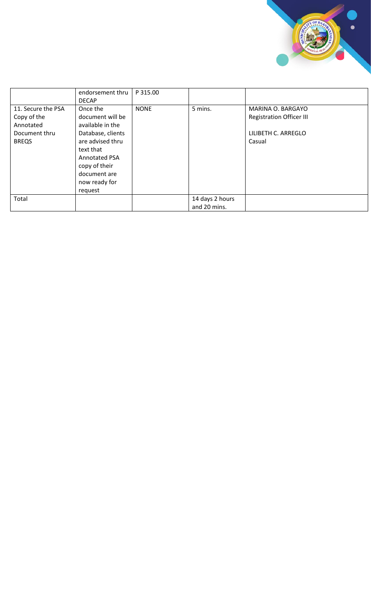

|                                                                                 | endorsement thru<br><b>DECAP</b>                                                                                                                                                            | P 315.00    |                                 |                                                                                       |
|---------------------------------------------------------------------------------|---------------------------------------------------------------------------------------------------------------------------------------------------------------------------------------------|-------------|---------------------------------|---------------------------------------------------------------------------------------|
| 11. Secure the PSA<br>Copy of the<br>Annotated<br>Document thru<br><b>BREQS</b> | Once the<br>document will be<br>available in the<br>Database, clients<br>are advised thru<br>text that<br><b>Annotated PSA</b><br>copy of their<br>document are<br>now ready for<br>request | <b>NONE</b> | 5 mins.                         | MARINA O. BARGAYO<br><b>Registration Officer III</b><br>LILIBETH C. ARREGLO<br>Casual |
| Total                                                                           |                                                                                                                                                                                             |             | 14 days 2 hours<br>and 20 mins. |                                                                                       |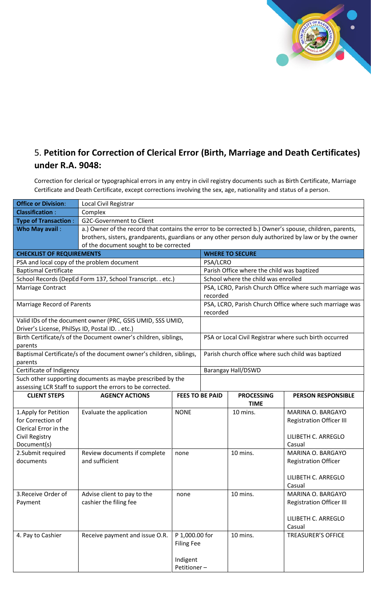

## 5. **Petition for Correction of Clerical Error (Birth, Marriage and Death Certificates) under R.A. 9048:**

Correction for clerical or typographical errors in any entry in civil registry documents such as Birth Certificate, Marriage Certificate and Death Certificate, except corrections involving the sex, age, nationality and status of a person.

| <b>Office or Division:</b>                                                                                                                                                                                                                               | Local Civil Registrar                                                                                                                                                                                                                                                                                                                                                                                                              |                                                       |          |                                                                                                   |                                                                                                                                                                                                                                                                                                                                                                                                        |  |
|----------------------------------------------------------------------------------------------------------------------------------------------------------------------------------------------------------------------------------------------------------|------------------------------------------------------------------------------------------------------------------------------------------------------------------------------------------------------------------------------------------------------------------------------------------------------------------------------------------------------------------------------------------------------------------------------------|-------------------------------------------------------|----------|---------------------------------------------------------------------------------------------------|--------------------------------------------------------------------------------------------------------------------------------------------------------------------------------------------------------------------------------------------------------------------------------------------------------------------------------------------------------------------------------------------------------|--|
| <b>Classification:</b>                                                                                                                                                                                                                                   | Complex                                                                                                                                                                                                                                                                                                                                                                                                                            |                                                       |          |                                                                                                   |                                                                                                                                                                                                                                                                                                                                                                                                        |  |
| <b>Type of Transaction:</b>                                                                                                                                                                                                                              | <b>G2C-Government to Client</b>                                                                                                                                                                                                                                                                                                                                                                                                    |                                                       |          |                                                                                                   |                                                                                                                                                                                                                                                                                                                                                                                                        |  |
| Who May avail:                                                                                                                                                                                                                                           | a.) Owner of the record that contains the error to be corrected b.) Owner's spouse, children, parents,                                                                                                                                                                                                                                                                                                                             |                                                       |          |                                                                                                   |                                                                                                                                                                                                                                                                                                                                                                                                        |  |
|                                                                                                                                                                                                                                                          | brothers, sisters, grandparents, guardians or any other person duly authorized by law or by the owner                                                                                                                                                                                                                                                                                                                              |                                                       |          |                                                                                                   |                                                                                                                                                                                                                                                                                                                                                                                                        |  |
|                                                                                                                                                                                                                                                          | of the document sought to be corrected                                                                                                                                                                                                                                                                                                                                                                                             |                                                       |          |                                                                                                   |                                                                                                                                                                                                                                                                                                                                                                                                        |  |
| <b>CHECKLIST OF REQUIREMENTS</b>                                                                                                                                                                                                                         |                                                                                                                                                                                                                                                                                                                                                                                                                                    |                                                       |          | <b>WHERE TO SECURE</b>                                                                            |                                                                                                                                                                                                                                                                                                                                                                                                        |  |
| PSA and local copy of the problem document                                                                                                                                                                                                               |                                                                                                                                                                                                                                                                                                                                                                                                                                    |                                                       | PSA/LCRO |                                                                                                   |                                                                                                                                                                                                                                                                                                                                                                                                        |  |
| <b>Baptismal Certificate</b>                                                                                                                                                                                                                             |                                                                                                                                                                                                                                                                                                                                                                                                                                    |                                                       |          | Parish Office where the child was baptized                                                        |                                                                                                                                                                                                                                                                                                                                                                                                        |  |
|                                                                                                                                                                                                                                                          | School Records (DepEd Form 137, School Transcript. . etc.)                                                                                                                                                                                                                                                                                                                                                                         |                                                       |          | School where the child was enrolled                                                               |                                                                                                                                                                                                                                                                                                                                                                                                        |  |
| Marriage Contract                                                                                                                                                                                                                                        |                                                                                                                                                                                                                                                                                                                                                                                                                                    |                                                       |          |                                                                                                   | PSA, LCRO, Parish Church Office where such marriage was                                                                                                                                                                                                                                                                                                                                                |  |
|                                                                                                                                                                                                                                                          |                                                                                                                                                                                                                                                                                                                                                                                                                                    |                                                       | recorded |                                                                                                   |                                                                                                                                                                                                                                                                                                                                                                                                        |  |
| <b>Marriage Record of Parents</b>                                                                                                                                                                                                                        |                                                                                                                                                                                                                                                                                                                                                                                                                                    |                                                       |          |                                                                                                   | PSA, LCRO, Parish Church Office where such marriage was                                                                                                                                                                                                                                                                                                                                                |  |
|                                                                                                                                                                                                                                                          |                                                                                                                                                                                                                                                                                                                                                                                                                                    |                                                       | recorded |                                                                                                   |                                                                                                                                                                                                                                                                                                                                                                                                        |  |
|                                                                                                                                                                                                                                                          | Valid IDs of the document owner (PRC, GSIS UMID, SSS UMID,                                                                                                                                                                                                                                                                                                                                                                         |                                                       |          |                                                                                                   |                                                                                                                                                                                                                                                                                                                                                                                                        |  |
| Driver's License, PhilSys ID, Postal ID. . etc.)                                                                                                                                                                                                         |                                                                                                                                                                                                                                                                                                                                                                                                                                    |                                                       |          |                                                                                                   |                                                                                                                                                                                                                                                                                                                                                                                                        |  |
|                                                                                                                                                                                                                                                          |                                                                                                                                                                                                                                                                                                                                                                                                                                    |                                                       |          |                                                                                                   |                                                                                                                                                                                                                                                                                                                                                                                                        |  |
|                                                                                                                                                                                                                                                          |                                                                                                                                                                                                                                                                                                                                                                                                                                    |                                                       |          |                                                                                                   |                                                                                                                                                                                                                                                                                                                                                                                                        |  |
|                                                                                                                                                                                                                                                          |                                                                                                                                                                                                                                                                                                                                                                                                                                    |                                                       |          |                                                                                                   |                                                                                                                                                                                                                                                                                                                                                                                                        |  |
|                                                                                                                                                                                                                                                          |                                                                                                                                                                                                                                                                                                                                                                                                                                    |                                                       |          |                                                                                                   |                                                                                                                                                                                                                                                                                                                                                                                                        |  |
|                                                                                                                                                                                                                                                          |                                                                                                                                                                                                                                                                                                                                                                                                                                    |                                                       |          |                                                                                                   |                                                                                                                                                                                                                                                                                                                                                                                                        |  |
|                                                                                                                                                                                                                                                          |                                                                                                                                                                                                                                                                                                                                                                                                                                    |                                                       |          |                                                                                                   |                                                                                                                                                                                                                                                                                                                                                                                                        |  |
|                                                                                                                                                                                                                                                          |                                                                                                                                                                                                                                                                                                                                                                                                                                    |                                                       |          |                                                                                                   |                                                                                                                                                                                                                                                                                                                                                                                                        |  |
|                                                                                                                                                                                                                                                          |                                                                                                                                                                                                                                                                                                                                                                                                                                    |                                                       |          |                                                                                                   |                                                                                                                                                                                                                                                                                                                                                                                                        |  |
|                                                                                                                                                                                                                                                          |                                                                                                                                                                                                                                                                                                                                                                                                                                    |                                                       |          |                                                                                                   |                                                                                                                                                                                                                                                                                                                                                                                                        |  |
|                                                                                                                                                                                                                                                          |                                                                                                                                                                                                                                                                                                                                                                                                                                    |                                                       |          |                                                                                                   |                                                                                                                                                                                                                                                                                                                                                                                                        |  |
|                                                                                                                                                                                                                                                          |                                                                                                                                                                                                                                                                                                                                                                                                                                    |                                                       |          |                                                                                                   |                                                                                                                                                                                                                                                                                                                                                                                                        |  |
|                                                                                                                                                                                                                                                          |                                                                                                                                                                                                                                                                                                                                                                                                                                    |                                                       |          |                                                                                                   |                                                                                                                                                                                                                                                                                                                                                                                                        |  |
|                                                                                                                                                                                                                                                          |                                                                                                                                                                                                                                                                                                                                                                                                                                    |                                                       |          |                                                                                                   |                                                                                                                                                                                                                                                                                                                                                                                                        |  |
|                                                                                                                                                                                                                                                          |                                                                                                                                                                                                                                                                                                                                                                                                                                    |                                                       |          |                                                                                                   |                                                                                                                                                                                                                                                                                                                                                                                                        |  |
|                                                                                                                                                                                                                                                          |                                                                                                                                                                                                                                                                                                                                                                                                                                    |                                                       |          |                                                                                                   |                                                                                                                                                                                                                                                                                                                                                                                                        |  |
|                                                                                                                                                                                                                                                          |                                                                                                                                                                                                                                                                                                                                                                                                                                    |                                                       |          |                                                                                                   |                                                                                                                                                                                                                                                                                                                                                                                                        |  |
|                                                                                                                                                                                                                                                          |                                                                                                                                                                                                                                                                                                                                                                                                                                    |                                                       |          |                                                                                                   |                                                                                                                                                                                                                                                                                                                                                                                                        |  |
|                                                                                                                                                                                                                                                          |                                                                                                                                                                                                                                                                                                                                                                                                                                    |                                                       |          |                                                                                                   |                                                                                                                                                                                                                                                                                                                                                                                                        |  |
|                                                                                                                                                                                                                                                          |                                                                                                                                                                                                                                                                                                                                                                                                                                    |                                                       |          |                                                                                                   |                                                                                                                                                                                                                                                                                                                                                                                                        |  |
|                                                                                                                                                                                                                                                          |                                                                                                                                                                                                                                                                                                                                                                                                                                    |                                                       |          |                                                                                                   |                                                                                                                                                                                                                                                                                                                                                                                                        |  |
|                                                                                                                                                                                                                                                          |                                                                                                                                                                                                                                                                                                                                                                                                                                    |                                                       |          |                                                                                                   |                                                                                                                                                                                                                                                                                                                                                                                                        |  |
|                                                                                                                                                                                                                                                          |                                                                                                                                                                                                                                                                                                                                                                                                                                    |                                                       |          |                                                                                                   |                                                                                                                                                                                                                                                                                                                                                                                                        |  |
|                                                                                                                                                                                                                                                          |                                                                                                                                                                                                                                                                                                                                                                                                                                    |                                                       |          |                                                                                                   | Casual                                                                                                                                                                                                                                                                                                                                                                                                 |  |
| 4. Pay to Cashier                                                                                                                                                                                                                                        | Receive payment and issue O.R.                                                                                                                                                                                                                                                                                                                                                                                                     | P 1,000.00 for                                        |          | 10 mins.                                                                                          | <b>TREASURER'S OFFICE</b>                                                                                                                                                                                                                                                                                                                                                                              |  |
|                                                                                                                                                                                                                                                          |                                                                                                                                                                                                                                                                                                                                                                                                                                    | <b>Filing Fee</b>                                     |          |                                                                                                   |                                                                                                                                                                                                                                                                                                                                                                                                        |  |
|                                                                                                                                                                                                                                                          |                                                                                                                                                                                                                                                                                                                                                                                                                                    |                                                       |          |                                                                                                   |                                                                                                                                                                                                                                                                                                                                                                                                        |  |
|                                                                                                                                                                                                                                                          |                                                                                                                                                                                                                                                                                                                                                                                                                                    | Indigent                                              |          |                                                                                                   |                                                                                                                                                                                                                                                                                                                                                                                                        |  |
|                                                                                                                                                                                                                                                          |                                                                                                                                                                                                                                                                                                                                                                                                                                    | Petitioner-                                           |          |                                                                                                   |                                                                                                                                                                                                                                                                                                                                                                                                        |  |
| parents<br>parents<br>Certificate of Indigency<br><b>CLIENT STEPS</b><br>1. Apply for Petition<br>for Correction of<br>Clerical Error in the<br><b>Civil Registry</b><br>Document(s)<br>2.Submit required<br>documents<br>3. Receive Order of<br>Payment | Birth Certificate/s of the Document owner's children, siblings,<br>Baptismal Certificate/s of the document owner's children, siblings,<br>Such other supporting documents as maybe prescribed by the<br>assessing LCR Staff to support the errors to be corrected.<br><b>AGENCY ACTIONS</b><br>Evaluate the application<br>Review documents if complete<br>and sufficient<br>Advise client to pay to the<br>cashier the filing fee | <b>FEES TO BE PAID</b><br><b>NONE</b><br>none<br>none |          | <b>Barangay Hall/DSWD</b><br><b>PROCESSING</b><br><b>TIME</b><br>10 mins.<br>10 mins.<br>10 mins. | PSA or Local Civil Registrar where such birth occurred<br>Parish church office where such child was baptized<br><b>PERSON RESPONSIBLE</b><br>MARINA O. BARGAYO<br><b>Registration Officer III</b><br>LILIBETH C. ARREGLO<br>Casual<br>MARINA O. BARGAYO<br><b>Registration Officer</b><br>LILIBETH C. ARREGLO<br>Casual<br>MARINA O. BARGAYO<br><b>Registration Officer III</b><br>LILIBETH C. ARREGLO |  |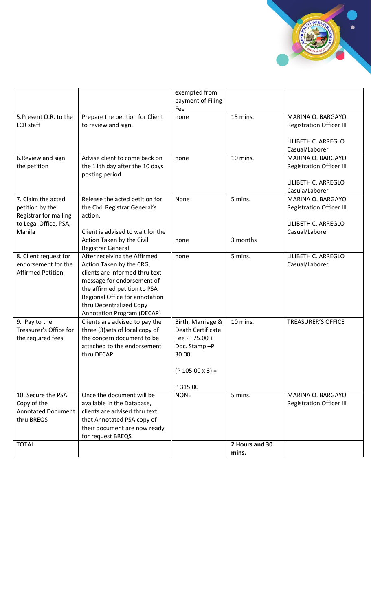|                                                                                         |                                                                                                                                                                                                                                                     | exempted from<br>payment of Filing<br>Fee                                                                           |                         |                                                                                               |
|-----------------------------------------------------------------------------------------|-----------------------------------------------------------------------------------------------------------------------------------------------------------------------------------------------------------------------------------------------------|---------------------------------------------------------------------------------------------------------------------|-------------------------|-----------------------------------------------------------------------------------------------|
| 5. Present O.R. to the<br>LCR staff                                                     | Prepare the petition for Client<br>to review and sign.                                                                                                                                                                                              | none                                                                                                                | 15 mins.                | MARINA O. BARGAYO<br><b>Registration Officer III</b>                                          |
|                                                                                         |                                                                                                                                                                                                                                                     |                                                                                                                     |                         | LILIBETH C. ARREGLO<br>Casual/Laborer                                                         |
| 6. Review and sign<br>the petition                                                      | Advise client to come back on<br>the 11th day after the 10 days<br>posting period                                                                                                                                                                   | none                                                                                                                | 10 mins.                | MARINA O. BARGAYO<br><b>Registration Officer III</b><br>LILIBETH C. ARREGLO<br>Casula/Laborer |
| 7. Claim the acted<br>petition by the<br>Registrar for mailing<br>to Legal Office, PSA, | Release the acted petition for<br>the Civil Registrar General's<br>action.                                                                                                                                                                          | None                                                                                                                | 5 mins.                 | MARINA O. BARGAYO<br><b>Registration Officer III</b><br>LILIBETH C. ARREGLO                   |
| Manila                                                                                  | Client is advised to wait for the<br>Action Taken by the Civil<br>Registrar General                                                                                                                                                                 | none                                                                                                                | 3 months                | Casual/Laborer                                                                                |
| 8. Client request for<br>endorsement for the<br><b>Affirmed Petition</b>                | After receiving the Affirmed<br>Action Taken by the CRG,<br>clients are informed thru text<br>message for endorsement of<br>the affirmed petition to PSA<br>Regional Office for annotation<br>thru Decentralized Copy<br>Annotation Program (DECAP) | none                                                                                                                | 5 mins.                 | LILIBETH C. ARREGLO<br>Casual/Laborer                                                         |
| 9. Pay to the<br>Treasurer's Office for<br>the required fees                            | Clients are advised to pay the<br>three (3) sets of local copy of<br>the concern document to be<br>attached to the endorsement<br>thru DECAP                                                                                                        | Birth, Marriage &<br>Death Certificate<br>Fee -P 75.00 +<br>Doc. Stamp-P<br>30.00<br>$(P 105.00 x 3) =$<br>P 315.00 | 10 mins.                | <b>TREASURER'S OFFICE</b>                                                                     |
| 10. Secure the PSA<br>Copy of the<br><b>Annotated Document</b><br>thru BREQS            | Once the document will be<br>available in the Database,<br>clients are advised thru text<br>that Annotated PSA copy of<br>their document are now ready<br>for request BREQS                                                                         | <b>NONE</b>                                                                                                         | 5 mins.                 | MARINA O. BARGAYO<br><b>Registration Officer III</b>                                          |
| <b>TOTAL</b>                                                                            |                                                                                                                                                                                                                                                     |                                                                                                                     | 2 Hours and 30<br>mins. |                                                                                               |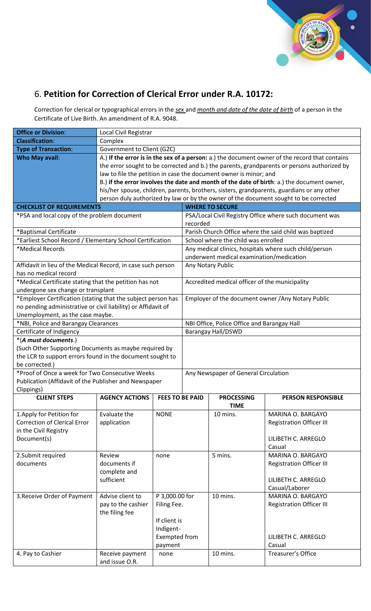

## 6. **Petition for Correction of Clerical Error under R.A. 10172:**

Correction for clerical or typographical errors in the *sex* and *month and date of the date of birth* of a person in the Certificate of Live Birth. An amendment of R.A. 9048.

| <b>Office or Division:</b>                                               | Local Civil Registrar        |                        |                                             |                                                                   |                                                                                                |  |
|--------------------------------------------------------------------------|------------------------------|------------------------|---------------------------------------------|-------------------------------------------------------------------|------------------------------------------------------------------------------------------------|--|
| <b>Classification:</b>                                                   | Complex                      |                        |                                             |                                                                   |                                                                                                |  |
| <b>Type of Transaction:</b>                                              | Government to Client (G2C)   |                        |                                             |                                                                   |                                                                                                |  |
| <b>Who May avail:</b>                                                    |                              |                        |                                             |                                                                   | A.) If the error is in the sex of a person: a.) the document owner of the record that contains |  |
|                                                                          |                              |                        |                                             |                                                                   | the error sought to be corrected and b.) the parents, grandparents or persons authorized by    |  |
|                                                                          |                              |                        |                                             | law to file the petition in case the document owner is minor; and |                                                                                                |  |
|                                                                          |                              |                        |                                             |                                                                   | B.) if the error involves the date and month of the date of birth: a.) the document owner,     |  |
|                                                                          |                              |                        |                                             |                                                                   | his/her spouse, children, parents, brothers, sisters, grandparents, guardians or any other     |  |
|                                                                          |                              |                        |                                             |                                                                   | person duly authorized by law or by the owner of the document sought to be corrected           |  |
| <b>CHECKLIST OF REQUIREMENTS</b>                                         |                              |                        | <b>WHERE TO SECURE</b>                      |                                                                   |                                                                                                |  |
| *PSA and local copy of the problem document                              |                              |                        |                                             |                                                                   | PSA/Local Civil Registry Office where such document was                                        |  |
|                                                                          |                              |                        | recorded                                    |                                                                   |                                                                                                |  |
| *Baptismal Certificate                                                   |                              |                        |                                             |                                                                   | Parish Church Office where the said child was baptized                                         |  |
| *Earliest School Record / Elementary School Certification                |                              |                        |                                             | School where the child was enrolled                               |                                                                                                |  |
| *Medical Records                                                         |                              |                        |                                             |                                                                   | Any medical clinics, hospitals where such child/person                                         |  |
|                                                                          |                              |                        |                                             | underwent medical examination/medication                          |                                                                                                |  |
| Affidavit in lieu of the Medical Record, in case such person             |                              |                        |                                             | Any Notary Public                                                 |                                                                                                |  |
| has no medical record                                                    |                              |                        |                                             |                                                                   |                                                                                                |  |
| *Medical Certificate stating that the petition has not                   |                              |                        |                                             | Accredited medical officer of the municipality                    |                                                                                                |  |
| undergone sex change or transplant                                       |                              |                        |                                             |                                                                   |                                                                                                |  |
| *Employer Certification (stating that the subject person has             |                              |                        |                                             |                                                                   | Employer of the document owner / Any Notary Public                                             |  |
| no pending administrative or civil liability) or Affidavit of            |                              |                        |                                             |                                                                   |                                                                                                |  |
| Unemployment, as the case maybe.<br>*NBI, Police and Barangay Clearances |                              |                        | NBI Office, Police Office and Barangay Hall |                                                                   |                                                                                                |  |
| Certificate of Indigency                                                 |                              |                        | <b>Barangay Hall/DSWD</b>                   |                                                                   |                                                                                                |  |
| *(A must documents.)                                                     |                              |                        |                                             |                                                                   |                                                                                                |  |
| (Such Other Supporting Documents as maybe required by                    |                              |                        |                                             |                                                                   |                                                                                                |  |
| the LCR to support errors found in the document sought to                |                              |                        |                                             |                                                                   |                                                                                                |  |
| be corrected.)                                                           |                              |                        |                                             |                                                                   |                                                                                                |  |
| *Proof of Once a week for Two Consecutive Weeks                          |                              |                        |                                             | Any Newspaper of General Circulation                              |                                                                                                |  |
| Publication (Affidavit of the Publisher and Newspaper                    |                              |                        |                                             |                                                                   |                                                                                                |  |
| Clippings)                                                               |                              |                        |                                             |                                                                   |                                                                                                |  |
| <b>CLIENT STEPS</b>                                                      | <b>AGENCY ACTIONS</b>        | <b>FEES TO BE PAID</b> |                                             | <b>PROCESSING</b>                                                 | <b>PERSON RESPONSIBLE</b>                                                                      |  |
|                                                                          |                              |                        |                                             | <b>TIME</b>                                                       |                                                                                                |  |
| 1. Apply for Petition for                                                | Evaluate the                 | <b>NONE</b>            |                                             | 10 mins.                                                          | MARINA O. BARGAYO                                                                              |  |
| <b>Correction of Clerical Error</b>                                      | application                  |                        |                                             |                                                                   | <b>Registration Officer III</b>                                                                |  |
| in the Civil Registry                                                    |                              |                        |                                             |                                                                   |                                                                                                |  |
| Document(s)                                                              |                              |                        |                                             |                                                                   | LILIBETH C. ARREGLO                                                                            |  |
|                                                                          |                              |                        |                                             |                                                                   | Casual                                                                                         |  |
| 2.Submit required                                                        | Review                       | none                   |                                             | 5 mins.                                                           | MARINA O. BARGAYO                                                                              |  |
| documents                                                                | documents if<br>complete and |                        |                                             |                                                                   | <b>Registration Officer III</b>                                                                |  |
|                                                                          | sufficient                   |                        |                                             |                                                                   | LILIBETH C. ARREGLO                                                                            |  |
|                                                                          |                              |                        |                                             |                                                                   | Casual/Laborer                                                                                 |  |
| 3. Receive Order of Payment                                              | Advise client to             | P 3,000.00 for         |                                             | 10 mins.                                                          | MARINA O. BARGAYO                                                                              |  |
|                                                                          | pay to the cashier           | Filing Fee.            |                                             |                                                                   | <b>Registration Officer III</b>                                                                |  |
|                                                                          | the filing fee               |                        |                                             |                                                                   |                                                                                                |  |
|                                                                          |                              | If client is           |                                             |                                                                   |                                                                                                |  |
|                                                                          |                              | Indigent-              |                                             |                                                                   |                                                                                                |  |
|                                                                          |                              | Exempted from          |                                             |                                                                   | LILIBETH C. ARREGLO                                                                            |  |
|                                                                          |                              | payment                |                                             |                                                                   | Casual                                                                                         |  |
| 4. Pay to Cashier                                                        | Receive payment              | none                   |                                             | 10 mins.                                                          | Treasurer's Office                                                                             |  |
|                                                                          | and issue O.R.               |                        |                                             |                                                                   |                                                                                                |  |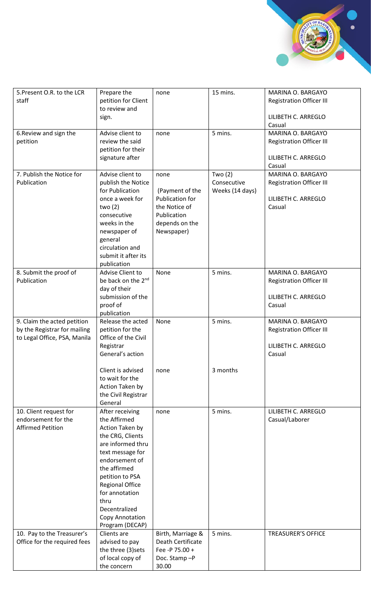

| 5. Present O.R. to the LCR<br>staff                                                         | Prepare the<br>petition for Client<br>to review and<br>sign.                                                                                                                                                                                                                    | none                                                                                                              | 15 mins.                                    | MARINA O. BARGAYO<br><b>Registration Officer III</b><br>LILIBETH C. ARREGLO<br>Casual |
|---------------------------------------------------------------------------------------------|---------------------------------------------------------------------------------------------------------------------------------------------------------------------------------------------------------------------------------------------------------------------------------|-------------------------------------------------------------------------------------------------------------------|---------------------------------------------|---------------------------------------------------------------------------------------|
| 6. Review and sign the<br>petition                                                          | Advise client to<br>review the said<br>petition for their<br>signature after                                                                                                                                                                                                    | none                                                                                                              | 5 mins.                                     | MARINA O. BARGAYO<br><b>Registration Officer III</b><br>LILIBETH C. ARREGLO<br>Casual |
| 7. Publish the Notice for<br>Publication                                                    | Advise client to<br>publish the Notice<br>for Publication<br>once a week for<br>two (2)<br>consecutive<br>weeks in the<br>newspaper of<br>general<br>circulation and<br>submit it after its<br>publication                                                                      | none<br>(Payment of the<br><b>Publication for</b><br>the Notice of<br>Publication<br>depends on the<br>Newspaper) | Two $(2)$<br>Consecutive<br>Weeks (14 days) | MARINA O. BARGAYO<br><b>Registration Officer III</b><br>LILIBETH C. ARREGLO<br>Casual |
| 8. Submit the proof of<br>Publication                                                       | Advise Client to<br>be back on the 2 <sup>nd</sup><br>day of their<br>submission of the<br>proof of<br>publication                                                                                                                                                              | None                                                                                                              | 5 mins.                                     | MARINA O. BARGAYO<br><b>Registration Officer III</b><br>LILIBETH C. ARREGLO<br>Casual |
| 9. Claim the acted petition<br>by the Registrar for mailing<br>to Legal Office, PSA, Manila | Release the acted<br>petition for the<br>Office of the Civil<br>Registrar<br>General's action                                                                                                                                                                                   | None                                                                                                              | 5 mins.                                     | MARINA O. BARGAYO<br><b>Registration Officer III</b><br>LILIBETH C. ARREGLO<br>Casual |
|                                                                                             | Client is advised<br>to wait for the<br>Action Taken by<br>the Civil Registrar<br>General                                                                                                                                                                                       | none                                                                                                              | 3 months                                    |                                                                                       |
| 10. Client request for<br>endorsement for the<br><b>Affirmed Petition</b>                   | After receiving<br>the Affirmed<br>Action Taken by<br>the CRG, Clients<br>are informed thru<br>text message for<br>endorsement of<br>the affirmed<br>petition to PSA<br><b>Regional Office</b><br>for annotation<br>thru<br>Decentralized<br>Copy Annotation<br>Program (DECAP) | none                                                                                                              | 5 mins.                                     | LILIBETH C. ARREGLO<br>Casual/Laborer                                                 |
| 10. Pay to the Treasurer's<br>Office for the required fees                                  | Clients are<br>advised to pay<br>the three (3) sets<br>of local copy of<br>the concern                                                                                                                                                                                          | Birth, Marriage &<br>Death Certificate<br>Fee -P 75.00 +<br>Doc. Stamp-P<br>30.00                                 | 5 mins.                                     | <b>TREASURER'S OFFICE</b>                                                             |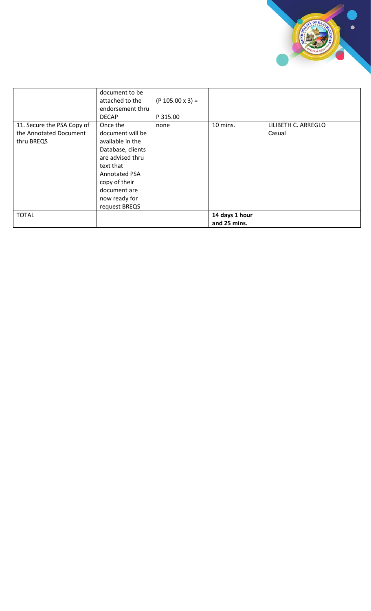

|                            | document to be       |                    |                |                     |
|----------------------------|----------------------|--------------------|----------------|---------------------|
|                            | attached to the      | $(P 105.00 x 3) =$ |                |                     |
|                            | endorsement thru     |                    |                |                     |
|                            | <b>DECAP</b>         | P 315.00           |                |                     |
| 11. Secure the PSA Copy of | Once the             | none               | 10 mins.       | LILIBETH C. ARREGLO |
| the Annotated Document     | document will be     |                    |                | Casual              |
| thru BREQS                 | available in the     |                    |                |                     |
|                            | Database, clients    |                    |                |                     |
|                            | are advised thru     |                    |                |                     |
|                            | text that            |                    |                |                     |
|                            | <b>Annotated PSA</b> |                    |                |                     |
|                            | copy of their        |                    |                |                     |
|                            | document are         |                    |                |                     |
|                            | now ready for        |                    |                |                     |
|                            | request BREQS        |                    |                |                     |
| <b>TOTAL</b>               |                      |                    | 14 days 1 hour |                     |
|                            |                      |                    | and 25 mins.   |                     |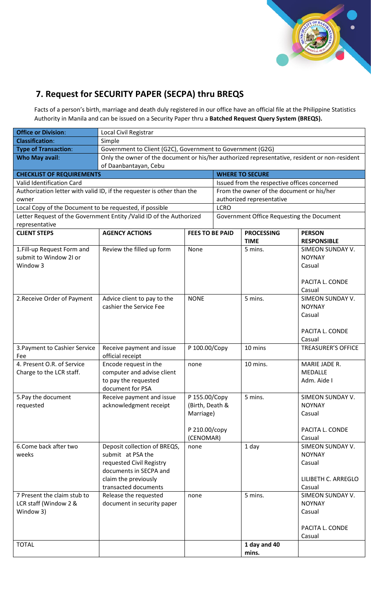

### **7. Request for SECURITY PAPER (SECPA) thru BREQS**

Facts of a person's birth, marriage and death duly registered in our office have an official file at the Philippine Statistics Authority in Manila and can be issued on a Security Paper thru a **Batched Request Query System (BREQS).**

| <b>Office or Division:</b>                                 | Local Civil Registrar                                                                         |                        |             |                                           |                           |  |  |  |
|------------------------------------------------------------|-----------------------------------------------------------------------------------------------|------------------------|-------------|-------------------------------------------|---------------------------|--|--|--|
| <b>Classification:</b>                                     | Simple                                                                                        |                        |             |                                           |                           |  |  |  |
| <b>Type of Transaction:</b>                                | Government to Client (G2C), Government to Government (G2G)                                    |                        |             |                                           |                           |  |  |  |
| <b>Who May avail:</b>                                      | Only the owner of the document or his/her authorized representative, resident or non-resident |                        |             |                                           |                           |  |  |  |
| of Daanbantayan, Cebu                                      |                                                                                               |                        |             |                                           |                           |  |  |  |
| <b>WHERE TO SECURE</b><br><b>CHECKLIST OF REQUIREMENTS</b> |                                                                                               |                        |             |                                           |                           |  |  |  |
| Valid Identification Card                                  | Issued from the respective offices concerned                                                  |                        |             |                                           |                           |  |  |  |
|                                                            | Authorization letter with valid ID, if the requester is other than the                        |                        |             | From the owner of the document or his/her |                           |  |  |  |
| owner                                                      |                                                                                               |                        |             | authorized representative                 |                           |  |  |  |
| Local Copy of the Document to be requested, if possible    |                                                                                               |                        | <b>LCRO</b> |                                           |                           |  |  |  |
|                                                            | Letter Request of the Government Entity / Valid ID of the Authorized                          |                        |             | Government Office Requesting the Document |                           |  |  |  |
| representative                                             |                                                                                               |                        |             |                                           |                           |  |  |  |
| <b>CLIENT STEPS</b>                                        | <b>AGENCY ACTIONS</b>                                                                         | <b>FEES TO BE PAID</b> |             | <b>PROCESSING</b>                         | <b>PERSON</b>             |  |  |  |
|                                                            |                                                                                               |                        |             | <b>TIME</b>                               | <b>RESPONSIBLE</b>        |  |  |  |
| 1. Fill-up Request Form and                                | Review the filled up form                                                                     | None                   |             | 5 mins.                                   | SIMEON SUNDAY V.          |  |  |  |
| submit to Window 2I or                                     |                                                                                               |                        |             |                                           | <b>NOYNAY</b>             |  |  |  |
| Window 3                                                   |                                                                                               |                        |             |                                           | Casual                    |  |  |  |
|                                                            |                                                                                               |                        |             |                                           | PACITA L. CONDE           |  |  |  |
|                                                            |                                                                                               |                        |             |                                           | Casual                    |  |  |  |
| 2. Receive Order of Payment                                | Advice client to pay to the                                                                   | <b>NONE</b>            |             | 5 mins.                                   | <b>SIMEON SUNDAY V.</b>   |  |  |  |
|                                                            | cashier the Service Fee                                                                       |                        |             |                                           | <b>NOYNAY</b>             |  |  |  |
|                                                            |                                                                                               |                        |             |                                           | Casual                    |  |  |  |
|                                                            |                                                                                               |                        |             |                                           |                           |  |  |  |
|                                                            |                                                                                               |                        |             |                                           | PACITA L. CONDE           |  |  |  |
|                                                            |                                                                                               |                        |             |                                           | Casual                    |  |  |  |
| 3. Payment to Cashier Service                              | Receive payment and issue                                                                     | P 100.00/Copy          |             | 10 mins                                   | <b>TREASURER'S OFFICE</b> |  |  |  |
| Fee                                                        | official receipt                                                                              |                        |             |                                           |                           |  |  |  |
| 4. Present O.R. of Service                                 | Encode request in the                                                                         | none                   |             | 10 mins.                                  | MARIE JADE R.             |  |  |  |
| Charge to the LCR staff.                                   | computer and advise client                                                                    |                        |             |                                           | MEDALLE                   |  |  |  |
|                                                            | to pay the requested                                                                          |                        |             |                                           | Adm. Aide I               |  |  |  |
|                                                            | document for PSA                                                                              |                        |             |                                           |                           |  |  |  |
| 5. Pay the document                                        | Receive payment and issue                                                                     | P 155.00/Copy          |             | 5 mins.                                   | SIMEON SUNDAY V.          |  |  |  |
| requested                                                  | acknowledgment receipt                                                                        | (Birth, Death &        |             |                                           | <b>NOYNAY</b>             |  |  |  |
|                                                            |                                                                                               | Marriage)              |             |                                           | Casual                    |  |  |  |
|                                                            |                                                                                               | P 210.00/copy          |             |                                           | PACITA L. CONDE           |  |  |  |
|                                                            |                                                                                               | (CENOMAR)              |             |                                           | Casual                    |  |  |  |
| 6.Come back after two                                      | Deposit collection of BREQS,                                                                  | none                   |             | 1 day                                     | SIMEON SUNDAY V.          |  |  |  |
| weeks                                                      | submit at PSA the                                                                             |                        |             |                                           | <b>NOYNAY</b>             |  |  |  |
|                                                            | requested Civil Registry                                                                      |                        |             |                                           | Casual                    |  |  |  |
|                                                            | documents in SECPA and                                                                        |                        |             |                                           |                           |  |  |  |
|                                                            | claim the previously                                                                          |                        |             |                                           | LILIBETH C. ARREGLO       |  |  |  |
|                                                            | transacted documents                                                                          |                        |             |                                           | Casual                    |  |  |  |
| 7 Present the claim stub to                                | Release the requested                                                                         | none                   |             | 5 mins.                                   | SIMEON SUNDAY V.          |  |  |  |
| LCR staff (Window 2 &                                      | document in security paper                                                                    |                        |             |                                           | <b>NOYNAY</b>             |  |  |  |
| Window 3)                                                  |                                                                                               |                        |             |                                           | Casual                    |  |  |  |
|                                                            |                                                                                               |                        |             |                                           |                           |  |  |  |
|                                                            |                                                                                               |                        |             |                                           | PACITA L. CONDE           |  |  |  |
|                                                            |                                                                                               |                        |             |                                           | Casual                    |  |  |  |
| <b>TOTAL</b>                                               |                                                                                               |                        |             | 1 day and 40                              |                           |  |  |  |
|                                                            |                                                                                               |                        |             | mins.                                     |                           |  |  |  |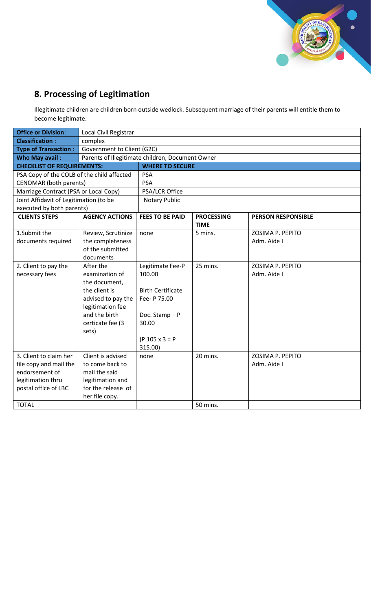

# **8. Processing of Legitimation**

Illegitimate children are children born outside wedlock. Subsequent marriage of their parents will entitle them to become legitimate.

| <b>Office or Division:</b>                 | Local Civil Registrar                            |                          |                   |                           |  |  |  |
|--------------------------------------------|--------------------------------------------------|--------------------------|-------------------|---------------------------|--|--|--|
| <b>Classification:</b>                     | complex                                          |                          |                   |                           |  |  |  |
| <b>Type of Transaction:</b>                | Government to Client (G2C)                       |                          |                   |                           |  |  |  |
| Who May avail:                             | Parents of Illegitimate children, Document Owner |                          |                   |                           |  |  |  |
| <b>CHECKLIST OF REQUIREMENTS:</b>          |                                                  | <b>WHERE TO SECURE</b>   |                   |                           |  |  |  |
| PSA Copy of the COLB of the child affected |                                                  | <b>PSA</b>               |                   |                           |  |  |  |
| <b>CENOMAR</b> (both parents)              |                                                  | <b>PSA</b>               |                   |                           |  |  |  |
| Marriage Contract (PSA or Local Copy)      |                                                  | PSA/LCR Office           |                   |                           |  |  |  |
| Joint Affidavit of Legitimation (to be     |                                                  | <b>Notary Public</b>     |                   |                           |  |  |  |
| executed by both parents)                  |                                                  |                          |                   |                           |  |  |  |
| <b>CLIENTS STEPS</b>                       | <b>AGENCY ACTIONS</b>                            | <b>FEES TO BE PAID</b>   | <b>PROCESSING</b> | <b>PERSON RESPONSIBLE</b> |  |  |  |
|                                            |                                                  |                          | <b>TIME</b>       |                           |  |  |  |
| 1.Submit the                               | Review, Scrutinize                               | none                     | 5 mins.           | ZOSIMA P. PEPITO          |  |  |  |
| documents required                         | the completeness                                 |                          |                   | Adm. Aide I               |  |  |  |
|                                            | of the submitted                                 |                          |                   |                           |  |  |  |
|                                            | documents                                        |                          |                   |                           |  |  |  |
| 2. Client to pay the                       | After the                                        | Legitimate Fee-P         | 25 mins.          | ZOSIMA P. PEPITO          |  |  |  |
| necessary fees                             | examination of                                   | 100.00                   |                   | Adm. Aide I               |  |  |  |
|                                            | the document,                                    |                          |                   |                           |  |  |  |
|                                            | the client is                                    | <b>Birth Certificate</b> |                   |                           |  |  |  |
|                                            | advised to pay the                               | Fee- P 75.00             |                   |                           |  |  |  |
|                                            | legitimation fee                                 |                          |                   |                           |  |  |  |
|                                            | and the birth                                    | Doc. Stamp-P             |                   |                           |  |  |  |
|                                            | certicate fee (3                                 | 30.00                    |                   |                           |  |  |  |
|                                            | sets)                                            | $(P 105 x 3 = P)$        |                   |                           |  |  |  |
|                                            |                                                  | 315.00)                  |                   |                           |  |  |  |
| 3. Client to claim her                     | Client is advised                                | none                     | 20 mins.          | ZOSIMA P. PEPITO          |  |  |  |
| file copy and mail the                     | to come back to                                  |                          |                   | Adm. Aide I               |  |  |  |
| endorsement of                             | mail the said                                    |                          |                   |                           |  |  |  |
| legitimation thru                          | legitimation and                                 |                          |                   |                           |  |  |  |
| postal office of LBC                       | for the release of                               |                          |                   |                           |  |  |  |
|                                            | her file copy.                                   |                          |                   |                           |  |  |  |
| <b>TOTAL</b>                               |                                                  |                          | 50 mins.          |                           |  |  |  |
|                                            |                                                  |                          |                   |                           |  |  |  |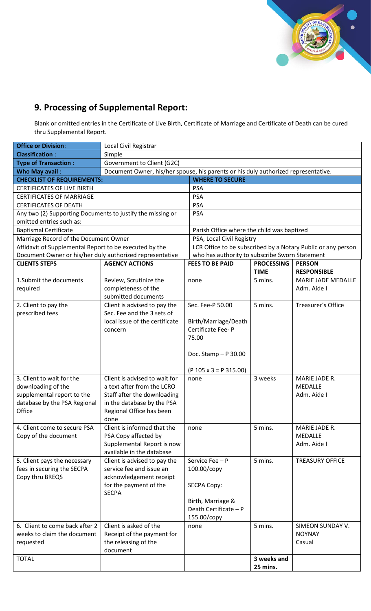

## **9. Processing of Supplemental Report:**

Blank or omitted entries in the Certificate of Live Birth, Certificate of Marriage and Certificate of Death can be cured thru Supplemental Report.

| <b>Office or Division:</b>                                 | Local Civil Registrar                                                              |                                                |                   |                                                              |  |  |  |
|------------------------------------------------------------|------------------------------------------------------------------------------------|------------------------------------------------|-------------------|--------------------------------------------------------------|--|--|--|
| <b>Classification:</b>                                     | Simple                                                                             |                                                |                   |                                                              |  |  |  |
| <b>Type of Transaction:</b>                                | Government to Client (G2C)                                                         |                                                |                   |                                                              |  |  |  |
| Who May avail:                                             | Document Owner, his/her spouse, his parents or his duly authorized representative. |                                                |                   |                                                              |  |  |  |
| <b>CHECKLIST OF REQUIREMENTS:</b>                          |                                                                                    | <b>WHERE TO SECURE</b>                         |                   |                                                              |  |  |  |
| <b>CERTIFICATES OF LIVE BIRTH</b>                          | <b>PSA</b>                                                                         |                                                |                   |                                                              |  |  |  |
| <b>CERTIFICATES OF MARRIAGE</b>                            |                                                                                    | <b>PSA</b>                                     |                   |                                                              |  |  |  |
| <b>CERTIFICATES OF DEATH</b>                               |                                                                                    | <b>PSA</b>                                     |                   |                                                              |  |  |  |
| Any two (2) Supporting Documents to justify the missing or |                                                                                    | <b>PSA</b>                                     |                   |                                                              |  |  |  |
| omitted entries such as:                                   |                                                                                    |                                                |                   |                                                              |  |  |  |
| <b>Baptismal Certificate</b>                               |                                                                                    | Parish Office where the child was baptized     |                   |                                                              |  |  |  |
| Marriage Record of the Document Owner                      |                                                                                    | PSA, Local Civil Registry                      |                   |                                                              |  |  |  |
| Affidavit of Supplemental Report to be executed by the     |                                                                                    |                                                |                   | LCR Office to be subscribed by a Notary Public or any person |  |  |  |
| Document Owner or his/her duly authorized representative   |                                                                                    | who has authority to subscribe Sworn Statement |                   |                                                              |  |  |  |
| <b>CLIENTS STEPS</b>                                       | <b>AGENCY ACTIONS</b>                                                              | <b>FEES TO BE PAID</b>                         | <b>PROCESSING</b> | <b>PERSON</b>                                                |  |  |  |
|                                                            |                                                                                    |                                                | <b>TIME</b>       | <b>RESPONSIBLE</b>                                           |  |  |  |
| 1. Submit the documents                                    | Review, Scrutinize the                                                             | none                                           | 5 mins.           | <b>MARIE JADE MEDALLE</b>                                    |  |  |  |
| required                                                   | completeness of the                                                                |                                                |                   | Adm. Aide I                                                  |  |  |  |
|                                                            | submitted documents                                                                |                                                |                   |                                                              |  |  |  |
| 2. Client to pay the                                       | Client is advised to pay the                                                       | Sec. Fee-P 50.00                               | 5 mins.           | <b>Treasurer's Office</b>                                    |  |  |  |
| prescribed fees                                            | Sec. Fee and the 3 sets of                                                         |                                                |                   |                                                              |  |  |  |
|                                                            | local issue of the certificate                                                     | Birth/Marriage/Death                           |                   |                                                              |  |  |  |
|                                                            | concern                                                                            | Certificate Fee-P                              |                   |                                                              |  |  |  |
|                                                            |                                                                                    | 75.00                                          |                   |                                                              |  |  |  |
|                                                            |                                                                                    |                                                |                   |                                                              |  |  |  |
|                                                            |                                                                                    | Doc. Stamp - P 30.00                           |                   |                                                              |  |  |  |
|                                                            |                                                                                    |                                                |                   |                                                              |  |  |  |
|                                                            |                                                                                    | $(P 105 \times 3 = P 315.00)$                  |                   |                                                              |  |  |  |
| 3. Client to wait for the                                  | Client is advised to wait for                                                      | none                                           | 3 weeks           | MARIE JADE R.                                                |  |  |  |
| downloading of the                                         | a text after from the LCRO                                                         |                                                |                   | MEDALLE                                                      |  |  |  |
| supplemental report to the                                 | Staff after the downloading                                                        |                                                |                   | Adm. Aide I                                                  |  |  |  |
| database by the PSA Regional                               | in the database by the PSA                                                         |                                                |                   |                                                              |  |  |  |
| Office                                                     | Regional Office has been                                                           |                                                |                   |                                                              |  |  |  |
|                                                            | done                                                                               |                                                |                   |                                                              |  |  |  |
| 4. Client come to secure PSA                               | Client is informed that the                                                        | none                                           | 5 mins.           | MARIE JADE R.                                                |  |  |  |
| Copy of the document                                       | PSA Copy affected by                                                               |                                                |                   | MEDALLE                                                      |  |  |  |
|                                                            | Supplemental Report is now<br>available in the database                            |                                                |                   | Adm. Aide I                                                  |  |  |  |
|                                                            |                                                                                    | Service Fee - P                                |                   | <b>TREASURY OFFICE</b>                                       |  |  |  |
| 5. Client pays the necessary                               | Client is advised to pay the<br>service fee and issue an                           |                                                | 5 mins.           |                                                              |  |  |  |
| fees in securing the SECPA<br>Copy thru BREQS              | acknowledgement receipt                                                            | 100.00/copy                                    |                   |                                                              |  |  |  |
|                                                            | for the payment of the                                                             | <b>SECPA Copy:</b>                             |                   |                                                              |  |  |  |
|                                                            | <b>SECPA</b>                                                                       |                                                |                   |                                                              |  |  |  |
|                                                            |                                                                                    | Birth, Marriage &                              |                   |                                                              |  |  |  |
|                                                            |                                                                                    | Death Certificate - P                          |                   |                                                              |  |  |  |
|                                                            |                                                                                    | 155.00/copy                                    |                   |                                                              |  |  |  |
| 6. Client to come back after 2                             | Client is asked of the                                                             | none                                           | 5 mins.           | SIMEON SUNDAY V.                                             |  |  |  |
| weeks to claim the document                                | Receipt of the payment for                                                         |                                                |                   | <b>NOYNAY</b>                                                |  |  |  |
| requested                                                  | the releasing of the                                                               |                                                |                   | Casual                                                       |  |  |  |
|                                                            | document                                                                           |                                                |                   |                                                              |  |  |  |
| <b>TOTAL</b>                                               |                                                                                    |                                                | 3 weeks and       |                                                              |  |  |  |
|                                                            |                                                                                    |                                                | 25 mins.          |                                                              |  |  |  |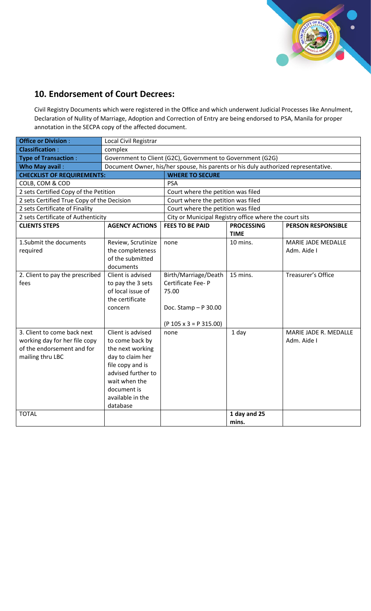

# **10. Endorsement of Court Decrees:**

Civil Registry Documents which were registered in the Office and which underwent Judicial Processes like Annulment, Declaration of Nullity of Marriage, Adoption and Correction of Entry are being endorsed to PSA, Manila for proper annotation in the SECPA copy of the affected document.

| <b>Office or Division:</b>                 | Local Civil Registrar                                                              |                                                        |                   |                           |  |  |  |
|--------------------------------------------|------------------------------------------------------------------------------------|--------------------------------------------------------|-------------------|---------------------------|--|--|--|
| <b>Classification:</b>                     | complex                                                                            |                                                        |                   |                           |  |  |  |
| <b>Type of Transaction:</b>                | Government to Client (G2C), Government to Government (G2G)                         |                                                        |                   |                           |  |  |  |
| <b>Who May avail:</b>                      | Document Owner, his/her spouse, his parents or his duly authorized representative. |                                                        |                   |                           |  |  |  |
| <b>CHECKLIST OF REQUIREMENTS:</b>          |                                                                                    | <b>WHERE TO SECURE</b>                                 |                   |                           |  |  |  |
| COLB, COM & COD                            |                                                                                    | <b>PSA</b>                                             |                   |                           |  |  |  |
| 2 sets Certified Copy of the Petition      |                                                                                    | Court where the petition was filed                     |                   |                           |  |  |  |
| 2 sets Certified True Copy of the Decision |                                                                                    | Court where the petition was filed                     |                   |                           |  |  |  |
| 2 sets Certificate of Finality             |                                                                                    | Court where the petition was filed                     |                   |                           |  |  |  |
| 2 sets Certificate of Authenticity         |                                                                                    | City or Municipal Registry office where the court sits |                   |                           |  |  |  |
| <b>CLIENTS STEPS</b>                       | <b>AGENCY ACTIONS</b>                                                              | <b>FEES TO BE PAID</b>                                 | <b>PROCESSING</b> | <b>PERSON RESPONSIBLE</b> |  |  |  |
|                                            |                                                                                    |                                                        | <b>TIME</b>       |                           |  |  |  |
| 1. Submit the documents                    | Review, Scrutinize                                                                 | none                                                   | 10 mins.          | MARIE JADE MEDALLE        |  |  |  |
| required                                   | the completeness                                                                   |                                                        |                   | Adm. Aide I               |  |  |  |
|                                            | of the submitted                                                                   |                                                        |                   |                           |  |  |  |
|                                            | documents                                                                          |                                                        |                   |                           |  |  |  |
| 2. Client to pay the prescribed            | Client is advised                                                                  | Birth/Marriage/Death                                   | 15 mins.          | Treasurer's Office        |  |  |  |
| fees                                       | to pay the 3 sets                                                                  | Certificate Fee-P                                      |                   |                           |  |  |  |
|                                            | of local issue of                                                                  | 75.00                                                  |                   |                           |  |  |  |
|                                            | the certificate                                                                    |                                                        |                   |                           |  |  |  |
|                                            | concern                                                                            | Doc. Stamp - P 30.00                                   |                   |                           |  |  |  |
|                                            |                                                                                    | $(P 105 \times 3 = P 315.00)$                          |                   |                           |  |  |  |
| 3. Client to come back next                | Client is advised                                                                  | none                                                   | $1$ day           | MARIE JADE R. MEDALLE     |  |  |  |
| working day for her file copy              | to come back by                                                                    |                                                        |                   | Adm. Aide I               |  |  |  |
| of the endorsement and for                 | the next working                                                                   |                                                        |                   |                           |  |  |  |
| mailing thru LBC                           | day to claim her                                                                   |                                                        |                   |                           |  |  |  |
|                                            | file copy and is                                                                   |                                                        |                   |                           |  |  |  |
|                                            | advised further to                                                                 |                                                        |                   |                           |  |  |  |
|                                            | wait when the                                                                      |                                                        |                   |                           |  |  |  |
|                                            | document is                                                                        |                                                        |                   |                           |  |  |  |
|                                            | available in the                                                                   |                                                        |                   |                           |  |  |  |
|                                            | database                                                                           |                                                        |                   |                           |  |  |  |
| <b>TOTAL</b>                               |                                                                                    |                                                        | 1 day and 25      |                           |  |  |  |
|                                            |                                                                                    |                                                        | mins.             |                           |  |  |  |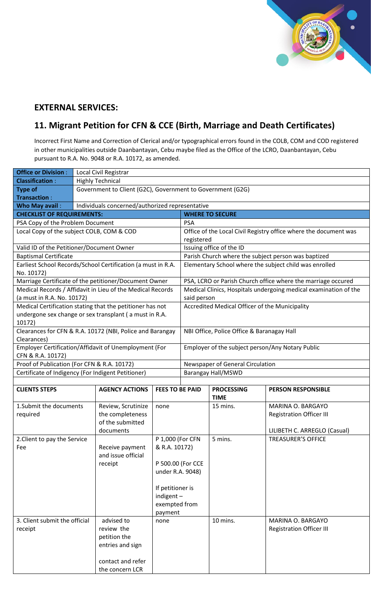

#### **EXTERNAL SERVICES:**

#### **11. Migrant Petition for CFN & CCE (Birth, Marriage and Death Certificates)**

Incorrect First Name and Correction of Clerical and/or typographical errors found in the COLB, COM and COD registered in other municipalities outside Daanbantayan, Cebu maybe filed as the Office of the LCRO, Daanbantayan, Cebu pursuant to R.A. No. 9048 or R.A. 10172, as amended.

| <b>Office or Division:</b>       | Local Civil Registrar                                        |                        |                                                                  |                                                |                                                                  |  |  |  |
|----------------------------------|--------------------------------------------------------------|------------------------|------------------------------------------------------------------|------------------------------------------------|------------------------------------------------------------------|--|--|--|
| <b>Classification:</b>           | <b>Highly Technical</b>                                      |                        |                                                                  |                                                |                                                                  |  |  |  |
| <b>Type of</b>                   | Government to Client (G2C), Government to Government (G2G)   |                        |                                                                  |                                                |                                                                  |  |  |  |
| <b>Transaction:</b>              |                                                              |                        |                                                                  |                                                |                                                                  |  |  |  |
| <b>Who May avail:</b>            | Individuals concerned/authorized representative              |                        |                                                                  |                                                |                                                                  |  |  |  |
|                                  | <b>CHECKLIST OF REQUIREMENTS:</b>                            |                        |                                                                  | <b>WHERE TO SECURE</b>                         |                                                                  |  |  |  |
| PSA Copy of the Problem Document |                                                              |                        | PSA                                                              |                                                |                                                                  |  |  |  |
|                                  | Local Copy of the subject COLB, COM & COD                    |                        | Office of the Local Civil Registry office where the document was |                                                |                                                                  |  |  |  |
|                                  |                                                              |                        | registered                                                       |                                                |                                                                  |  |  |  |
|                                  | Valid ID of the Petitioner/Document Owner                    |                        | Issuing office of the ID                                         |                                                |                                                                  |  |  |  |
| <b>Baptismal Certificate</b>     |                                                              |                        |                                                                  |                                                | Parish Church where the subject person was baptized              |  |  |  |
| No. 10172)                       | Earliest School Records/School Certification (a must in R.A. |                        | Elementary School where the subject child was enrolled           |                                                |                                                                  |  |  |  |
|                                  | Marriage Certificate of the petitioner/Document Owner        |                        |                                                                  |                                                | PSA, LCRO or Parish Church office where the marriage occured     |  |  |  |
|                                  | Medical Records / Affidavit in Lieu of the Medical Records   |                        |                                                                  |                                                | Medical Clinics, Hospitals undergoing medical examination of the |  |  |  |
| (a must in R.A. No. 10172)       |                                                              |                        | said person                                                      |                                                |                                                                  |  |  |  |
|                                  | Medical Certification stating that the petitioner has not    |                        |                                                                  | Accredited Medical Officer of the Municipality |                                                                  |  |  |  |
|                                  | undergone sex change or sex transplant (a must in R.A.       |                        |                                                                  |                                                |                                                                  |  |  |  |
| 10172)                           |                                                              |                        |                                                                  |                                                |                                                                  |  |  |  |
|                                  | Clearances for CFN & R.A. 10172 (NBI, Police and Barangay    |                        |                                                                  | NBI Office, Police Office & Baranagay Hall     |                                                                  |  |  |  |
| Clearances)                      | Employer Certification/Affidavit of Unemployment (For        |                        | Employer of the subject person/Any Notary Public                 |                                                |                                                                  |  |  |  |
| CFN & R.A. 10172)                |                                                              |                        |                                                                  |                                                |                                                                  |  |  |  |
|                                  | Proof of Publication (For CFN & R.A. 10172)                  |                        |                                                                  | Newspaper of General Circulation               |                                                                  |  |  |  |
|                                  | Certificate of Indigency (For Indigent Petitioner)           |                        |                                                                  | <b>Barangay Hall/MSWD</b>                      |                                                                  |  |  |  |
|                                  |                                                              |                        |                                                                  |                                                |                                                                  |  |  |  |
| <b>CLIENTS STEPS</b>             | <b>AGENCY ACTIONS</b>                                        | <b>FEES TO BE PAID</b> |                                                                  | <b>PROCESSING</b>                              | <b>PERSON RESPONSIBLE</b>                                        |  |  |  |
|                                  |                                                              |                        |                                                                  | <b>TIME</b>                                    |                                                                  |  |  |  |
| 1. Submit the documents          | Review, Scrutinize                                           | none                   |                                                                  | 15 mins.                                       | MARINA O. BARGAYO                                                |  |  |  |
| required                         | the completeness                                             |                        |                                                                  |                                                | <b>Registration Officer III</b>                                  |  |  |  |
|                                  | of the submitted                                             |                        |                                                                  |                                                |                                                                  |  |  |  |
|                                  | documents                                                    |                        |                                                                  |                                                | LILIBETH C. ARREGLO (Casual)                                     |  |  |  |
| 2. Client to pay the Service     |                                                              | P 1,000 (For CFN       |                                                                  | 5 mins.                                        | <b>TREASURER'S OFFICE</b>                                        |  |  |  |
| Fee                              | Receive payment<br>and issue official                        | & R.A. 10172)          |                                                                  |                                                |                                                                  |  |  |  |
|                                  | receipt                                                      |                        | P 500.00 (For CCE                                                |                                                |                                                                  |  |  |  |
|                                  |                                                              | under R.A. 9048)       |                                                                  |                                                |                                                                  |  |  |  |
|                                  |                                                              |                        |                                                                  |                                                |                                                                  |  |  |  |
|                                  |                                                              | If petitioner is       |                                                                  |                                                |                                                                  |  |  |  |
|                                  |                                                              | $indigent -$           |                                                                  |                                                |                                                                  |  |  |  |
|                                  |                                                              | exempted from          |                                                                  |                                                |                                                                  |  |  |  |
|                                  |                                                              | payment                |                                                                  |                                                |                                                                  |  |  |  |
| 3. Client submit the official    | advised to                                                   | none                   |                                                                  | 10 mins.                                       | MARINA O. BARGAYO                                                |  |  |  |
| receipt                          | review the                                                   |                        |                                                                  |                                                | <b>Registration Officer III</b>                                  |  |  |  |
|                                  | petition the                                                 |                        |                                                                  |                                                |                                                                  |  |  |  |
|                                  | entries and sign                                             |                        |                                                                  |                                                |                                                                  |  |  |  |
|                                  |                                                              |                        |                                                                  |                                                |                                                                  |  |  |  |
|                                  | contact and refer                                            |                        |                                                                  |                                                |                                                                  |  |  |  |
|                                  | the concern LCR                                              |                        |                                                                  |                                                |                                                                  |  |  |  |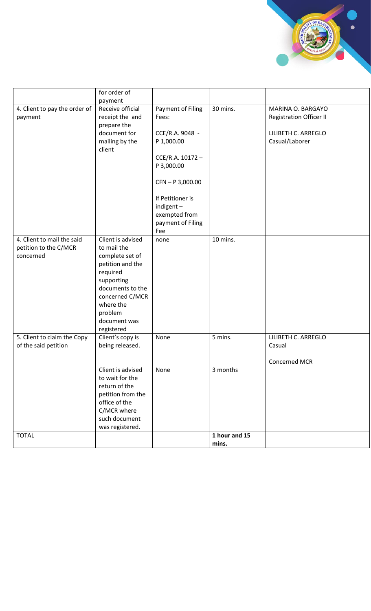

|                               | for order of      |                    |               |                                |
|-------------------------------|-------------------|--------------------|---------------|--------------------------------|
|                               | payment           |                    |               |                                |
| 4. Client to pay the order of | Receive official  | Payment of Filing  | 30 mins.      | MARINA O. BARGAYO              |
| payment                       | receipt the and   | Fees:              |               | <b>Registration Officer II</b> |
|                               | prepare the       |                    |               |                                |
|                               | document for      | CCE/R.A. 9048 -    |               | LILIBETH C. ARREGLO            |
|                               | mailing by the    | P 1,000.00         |               | Casual/Laborer                 |
|                               | client            |                    |               |                                |
|                               |                   | CCE/R.A. 10172-    |               |                                |
|                               |                   | P 3,000.00         |               |                                |
|                               |                   | $CFN - P 3,000.00$ |               |                                |
|                               |                   |                    |               |                                |
|                               |                   | If Petitioner is   |               |                                |
|                               |                   | indigent-          |               |                                |
|                               |                   | exempted from      |               |                                |
|                               |                   | payment of Filing  |               |                                |
|                               |                   | Fee                |               |                                |
| 4. Client to mail the said    | Client is advised | none               | 10 mins.      |                                |
| petition to the C/MCR         | to mail the       |                    |               |                                |
| concerned                     | complete set of   |                    |               |                                |
|                               | petition and the  |                    |               |                                |
|                               | required          |                    |               |                                |
|                               | supporting        |                    |               |                                |
|                               | documents to the  |                    |               |                                |
|                               | concerned C/MCR   |                    |               |                                |
|                               | where the         |                    |               |                                |
|                               | problem           |                    |               |                                |
|                               | document was      |                    |               |                                |
|                               | registered        |                    |               |                                |
| 5. Client to claim the Copy   | Client's copy is  | None               | 5 mins.       | LILIBETH C. ARREGLO            |
| of the said petition          | being released.   |                    |               | Casual                         |
|                               |                   |                    |               | Concerned MCR                  |
|                               | Client is advised | None               | 3 months      |                                |
|                               | to wait for the   |                    |               |                                |
|                               | return of the     |                    |               |                                |
|                               | petition from the |                    |               |                                |
|                               | office of the     |                    |               |                                |
|                               | C/MCR where       |                    |               |                                |
|                               | such document     |                    |               |                                |
|                               | was registered.   |                    |               |                                |
| <b>TOTAL</b>                  |                   |                    | 1 hour and 15 |                                |
|                               |                   |                    | mins.         |                                |
|                               |                   |                    |               |                                |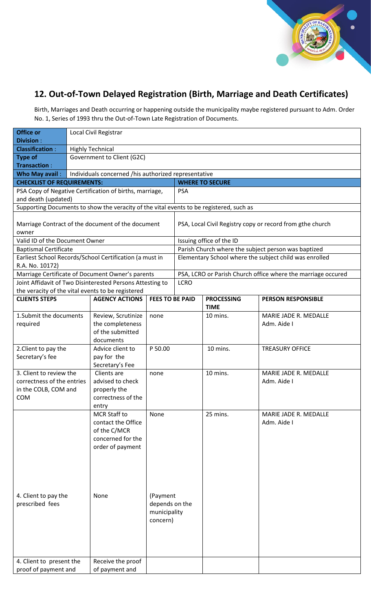

#### **12. Out-of-Town Delayed Registration (Birth, Marriage and Death Certificates)**

Birth, Marriages and Death occurring or happening outside the municipality maybe registered pursuant to Adm. Order No. 1, Series of 1993 thru the Out-of-Town Late Registration of Documents.

| <b>Office or</b>                                                    |                                                      | Local Civil Registrar                                                                       |                                                           |             |                                  |                                                              |  |
|---------------------------------------------------------------------|------------------------------------------------------|---------------------------------------------------------------------------------------------|-----------------------------------------------------------|-------------|----------------------------------|--------------------------------------------------------------|--|
| <b>Division:</b>                                                    |                                                      |                                                                                             |                                                           |             |                                  |                                                              |  |
| <b>Classification:</b>                                              | <b>Highly Technical</b>                              |                                                                                             |                                                           |             |                                  |                                                              |  |
| <b>Type of</b><br><b>Transaction:</b>                               | Government to Client (G2C)                           |                                                                                             |                                                           |             |                                  |                                                              |  |
| Who May avail:                                                      | Individuals concerned /his authorized representative |                                                                                             |                                                           |             |                                  |                                                              |  |
| <b>CHECKLIST OF REQUIREMENTS:</b>                                   | <b>WHERE TO SECURE</b>                               |                                                                                             |                                                           |             |                                  |                                                              |  |
|                                                                     |                                                      | PSA Copy of Negative Certification of births, marriage,                                     |                                                           | <b>PSA</b>  |                                  |                                                              |  |
| and death (updated)                                                 |                                                      |                                                                                             |                                                           |             |                                  |                                                              |  |
|                                                                     |                                                      | Supporting Documents to show the veracity of the vital events to be registered, such as     |                                                           |             |                                  |                                                              |  |
| Marriage Contract of the document of the document<br>owner          |                                                      |                                                                                             | PSA, Local Civil Registry copy or record from gthe church |             |                                  |                                                              |  |
| Valid ID of the Document Owner                                      |                                                      |                                                                                             |                                                           |             | Issuing office of the ID         |                                                              |  |
| <b>Baptismal Certificate</b>                                        |                                                      |                                                                                             |                                                           |             |                                  | Parish Church where the subject person was baptized          |  |
|                                                                     |                                                      | Earliest School Records/School Certification (a must in                                     |                                                           |             |                                  | Elementary School where the subject child was enrolled       |  |
| R.A. No. 10172)                                                     |                                                      |                                                                                             |                                                           |             |                                  |                                                              |  |
|                                                                     |                                                      | Marriage Certificate of Document Owner's parents                                            |                                                           |             |                                  | PSA, LCRO or Parish Church office where the marriage occured |  |
|                                                                     |                                                      | Joint Affidavit of Two Disinterested Persons Attesting to                                   |                                                           | <b>LCRO</b> |                                  |                                                              |  |
| the veracity of the vital events to be registered                   |                                                      |                                                                                             |                                                           |             |                                  |                                                              |  |
| <b>CLIENTS STEPS</b>                                                |                                                      | <b>AGENCY ACTIONS</b>                                                                       | <b>FEES TO BE PAID</b>                                    |             | <b>PROCESSING</b><br><b>TIME</b> | <b>PERSON RESPONSIBLE</b>                                    |  |
| 1. Submit the documents<br>required                                 |                                                      | Review, Scrutinize<br>the completeness<br>of the submitted<br>documents                     | none                                                      |             | 10 mins.                         | MARIE JADE R. MEDALLE<br>Adm. Aide I                         |  |
| 2. Client to pay the                                                |                                                      | Advice client to                                                                            | P 50.00                                                   |             | 10 mins.                         | <b>TREASURY OFFICE</b>                                       |  |
| Secretary's fee                                                     |                                                      | pay for the                                                                                 |                                                           |             |                                  |                                                              |  |
|                                                                     |                                                      | Secretary's Fee                                                                             |                                                           |             |                                  |                                                              |  |
| 3. Client to review the                                             |                                                      | Clients are                                                                                 | none                                                      |             | 10 mins.                         | MARIE JADE R. MEDALLE                                        |  |
| correctness of the entries                                          |                                                      | advised to check                                                                            |                                                           |             |                                  | Adm. Aide I                                                  |  |
| in the COLB, COM and                                                |                                                      | properly the                                                                                |                                                           |             |                                  |                                                              |  |
| <b>COM</b>                                                          |                                                      | correctness of the                                                                          |                                                           |             |                                  |                                                              |  |
|                                                                     |                                                      | entry                                                                                       |                                                           |             |                                  |                                                              |  |
|                                                                     |                                                      | MCR Staff to<br>contact the Office<br>of the C/MCR<br>concerned for the<br>order of payment | None                                                      |             | 25 mins.                         | MARIE JADE R. MEDALLE<br>Adm. Aide I                         |  |
| 4. Client to pay the<br>prescribed fees<br>4. Client to present the |                                                      | None<br>Receive the proof                                                                   | (Payment<br>depends on the<br>municipality<br>concern)    |             |                                  |                                                              |  |
| proof of payment and                                                |                                                      | of payment and                                                                              |                                                           |             |                                  |                                                              |  |